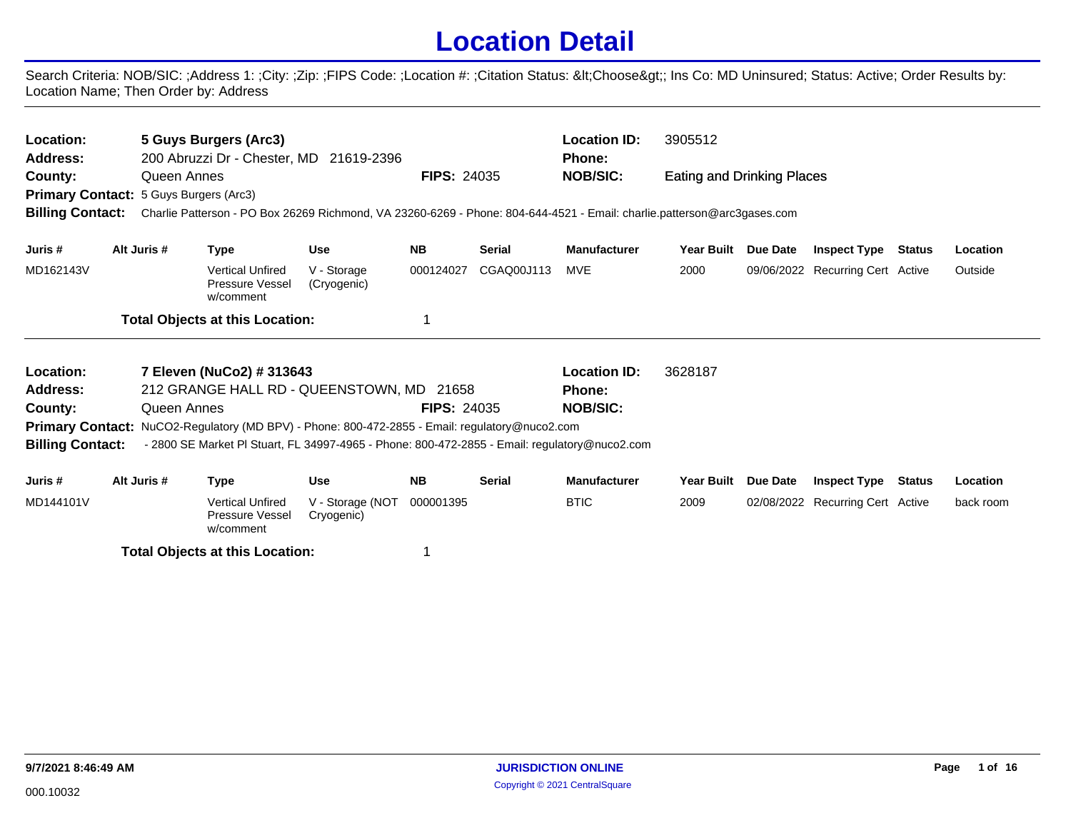## **Location Detail**

Search Criteria: NOB/SIC: ;Address 1: ;City: ;Zip: ;FIPS Code: ;Location #: ;Citation Status: <Choose&gt;; Ins Co: MD Uninsured; Status: Active; Order Results by: Location Name; Then Order by: Address

| Location:<br><b>Address:</b><br>County:<br><b>Billing Contact:</b> | Queen Annes<br><b>Primary Contact: 5 Guys Burgers (Arc3)</b> | 5 Guys Burgers (Arc3)<br>200 Abruzzi Dr - Chester, MD 21619-2396<br>Charlie Patterson - PO Box 26269 Richmond, VA 23260-6269 - Phone: 804-644-4521 - Email: charlie.patterson@arc3gases.com |                            | <b>FIPS: 24035</b> |               | <b>Location ID:</b><br><b>Phone:</b><br><b>NOB/SIC:</b> | 3905512<br>Eating and Drinking Places |                 |                                  |               |          |
|--------------------------------------------------------------------|--------------------------------------------------------------|---------------------------------------------------------------------------------------------------------------------------------------------------------------------------------------------|----------------------------|--------------------|---------------|---------------------------------------------------------|---------------------------------------|-----------------|----------------------------------|---------------|----------|
| Juris #                                                            | Alt Juris #                                                  | Type                                                                                                                                                                                        | <b>Use</b>                 | <b>NB</b>          | <b>Serial</b> | <b>Manufacturer</b>                                     | <b>Year Built</b>                     | Due Date        | <b>Inspect Type</b>              | Status        | Location |
| MD162143V                                                          |                                                              | <b>Vertical Unfired</b><br><b>Pressure Vessel</b><br>w/comment                                                                                                                              | V - Storage<br>(Cryogenic) | 000124027          | CGAQ00J113    | MVE                                                     | 2000                                  |                 | 09/06/2022 Recurring Cert Active |               | Outside  |
|                                                                    |                                                              | <b>Total Objects at this Location:</b>                                                                                                                                                      |                            |                    |               |                                                         |                                       |                 |                                  |               |          |
| Location:                                                          |                                                              | 7 Eleven (NuCo2) # 313643                                                                                                                                                                   |                            |                    |               | <b>Location ID:</b>                                     | 3628187                               |                 |                                  |               |          |
| <b>Address:</b>                                                    |                                                              | 212 GRANGE HALL RD - QUEENSTOWN, MD 21658                                                                                                                                                   |                            |                    |               | <b>Phone:</b>                                           |                                       |                 |                                  |               |          |
| County:                                                            | Queen Annes                                                  |                                                                                                                                                                                             |                            | <b>FIPS: 24035</b> |               | <b>NOB/SIC:</b>                                         |                                       |                 |                                  |               |          |
|                                                                    |                                                              | Primary Contact: NuCO2-Regulatory (MD BPV) - Phone: 800-472-2855 - Email: regulatory@nuco2.com                                                                                              |                            |                    |               |                                                         |                                       |                 |                                  |               |          |
| <b>Billing Contact:</b>                                            |                                                              | - 2800 SE Market PI Stuart, FL 34997-4965 - Phone: 800-472-2855 - Email: regulatory@nuco2.com                                                                                               |                            |                    |               |                                                         |                                       |                 |                                  |               |          |
| Juris #                                                            | Alt Juris #                                                  | Type                                                                                                                                                                                        | <b>Use</b>                 | <b>NB</b>          | <b>Serial</b> | <b>Manufacturer</b>                                     | <b>Year Built</b>                     | <b>Due Date</b> | <b>Inspect Type</b>              | <b>Status</b> | Location |

| Juris #   | Alt Juris $\pi$ | i vpe                                                   | use                            | NB        | serial | manuracturer |      | rear Built Due Date Inspect Type | status | Location  |
|-----------|-----------------|---------------------------------------------------------|--------------------------------|-----------|--------|--------------|------|----------------------------------|--------|-----------|
| MD144101V |                 | <b>Vertical Unfired</b><br>Pressure Vessel<br>w/comment | V - Storage (NOT<br>Cryogenic) | 000001395 |        | <b>BTIC</b>  | 2009 | 02/08/2022 Recurring Cert Active |        | back room |
|           |                 | <b>Total Objects at this Location:</b>                  |                                |           |        |              |      |                                  |        |           |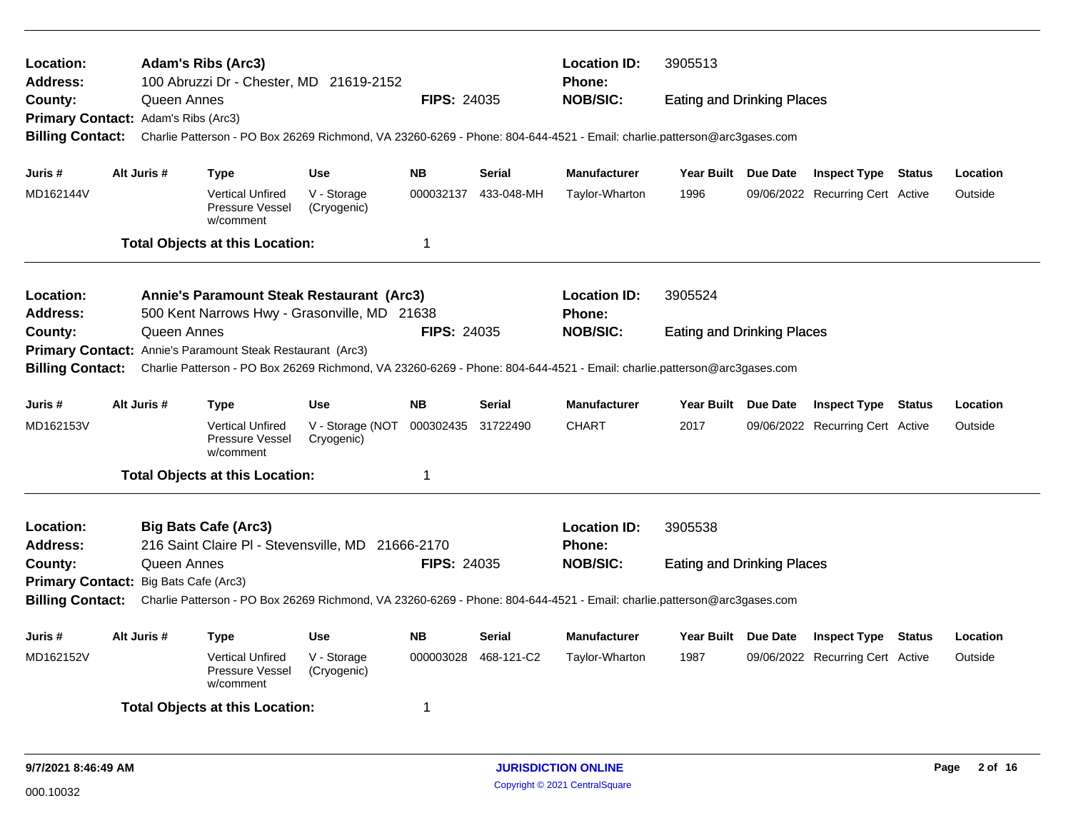| Location:<br>Address:                                          |             |             | <b>Adam's Ribs (Arc3)</b><br>100 Abruzzi Dr - Chester, MD 21619-2152             |                                          |                    |               | <b>Location ID:</b><br>Phone:                                                                                           | 3905513                           |          |                                  |               |          |
|----------------------------------------------------------------|-------------|-------------|----------------------------------------------------------------------------------|------------------------------------------|--------------------|---------------|-------------------------------------------------------------------------------------------------------------------------|-----------------------------------|----------|----------------------------------|---------------|----------|
| County:                                                        |             | Queen Annes |                                                                                  |                                          | <b>FIPS: 24035</b> |               | <b>NOB/SIC:</b>                                                                                                         | <b>Eating and Drinking Places</b> |          |                                  |               |          |
| Primary Contact: Adam's Ribs (Arc3)<br><b>Billing Contact:</b> |             |             |                                                                                  |                                          |                    |               | Charlie Patterson - PO Box 26269 Richmond, VA 23260-6269 - Phone: 804-644-4521 - Email: charlie.patterson@arc3gases.com |                                   |          |                                  |               |          |
| Juris #                                                        | Alt Juris # |             | <b>Type</b>                                                                      | <b>Use</b>                               | <b>NB</b>          | Serial        | <b>Manufacturer</b>                                                                                                     | Year Built Due Date               |          | <b>Inspect Type Status</b>       |               | Location |
| MD162144V                                                      |             |             | <b>Vertical Unfired</b><br>Pressure Vessel<br>w/comment                          | V - Storage<br>(Cryogenic)               | 000032137          | 433-048-MH    | Taylor-Wharton                                                                                                          | 1996                              |          | 09/06/2022 Recurring Cert Active |               | Outside  |
|                                                                |             |             | <b>Total Objects at this Location:</b>                                           |                                          | 1                  |               |                                                                                                                         |                                   |          |                                  |               |          |
| Location:                                                      |             |             | Annie's Paramount Steak Restaurant (Arc3)                                        |                                          |                    |               | <b>Location ID:</b>                                                                                                     | 3905524                           |          |                                  |               |          |
| Address:                                                       |             |             | 500 Kent Narrows Hwy - Grasonville, MD 21638                                     |                                          |                    |               | <b>Phone:</b>                                                                                                           |                                   |          |                                  |               |          |
| County:                                                        |             | Queen Annes | Primary Contact: Annie's Paramount Steak Restaurant (Arc3)                       |                                          | <b>FIPS: 24035</b> |               | <b>NOB/SIC:</b>                                                                                                         | <b>Eating and Drinking Places</b> |          |                                  |               |          |
| <b>Billing Contact:</b>                                        |             |             |                                                                                  |                                          |                    |               | Charlie Patterson - PO Box 26269 Richmond, VA 23260-6269 - Phone: 804-644-4521 - Email: charlie.patterson@arc3gases.com |                                   |          |                                  |               |          |
| Juris #                                                        | Alt Juris # |             | <b>Type</b>                                                                      | <b>Use</b>                               | <b>NB</b>          | <b>Serial</b> | <b>Manufacturer</b>                                                                                                     | Year Built Due Date               |          | <b>Inspect Type Status</b>       |               | Location |
| MD162153V                                                      |             |             | <b>Vertical Unfired</b><br>Pressure Vessel<br>w/comment                          | V - Storage (NOT 000302435<br>Cryogenic) |                    | 31722490      | <b>CHART</b>                                                                                                            | 2017                              |          | 09/06/2022 Recurring Cert Active |               | Outside  |
|                                                                |             |             | <b>Total Objects at this Location:</b>                                           |                                          | 1                  |               |                                                                                                                         |                                   |          |                                  |               |          |
| Location:<br>Address:                                          |             |             | <b>Big Bats Cafe (Arc3)</b><br>216 Saint Claire PI - Stevensville, MD 21666-2170 |                                          |                    |               | <b>Location ID:</b><br><b>Phone:</b>                                                                                    | 3905538                           |          |                                  |               |          |
| County:                                                        |             | Queen Annes |                                                                                  |                                          | <b>FIPS: 24035</b> |               | <b>NOB/SIC:</b>                                                                                                         | <b>Eating and Drinking Places</b> |          |                                  |               |          |
| Primary Contact: Big Bats Cafe (Arc3)                          |             |             |                                                                                  |                                          |                    |               |                                                                                                                         |                                   |          |                                  |               |          |
| <b>Billing Contact:</b>                                        |             |             |                                                                                  |                                          |                    |               | Charlie Patterson - PO Box 26269 Richmond, VA 23260-6269 - Phone: 804-644-4521 - Email: charlie.patterson@arc3gases.com |                                   |          |                                  |               |          |
| Juris #                                                        | Alt Juris # |             | Type                                                                             | <b>Use</b>                               | <b>NB</b>          | <b>Serial</b> | <b>Manufacturer</b>                                                                                                     | <b>Year Built</b>                 | Due Date | <b>Inspect Type</b>              | <b>Status</b> | Location |
| MD162152V                                                      |             |             | <b>Vertical Unfired</b><br>Pressure Vessel<br>w/comment                          | V - Storage<br>(Cryogenic)               | 000003028          | 468-121-C2    | Taylor-Wharton                                                                                                          | 1987                              |          | 09/06/2022 Recurring Cert Active |               | Outside  |
|                                                                |             |             | <b>Total Objects at this Location:</b>                                           |                                          | 1                  |               |                                                                                                                         |                                   |          |                                  |               |          |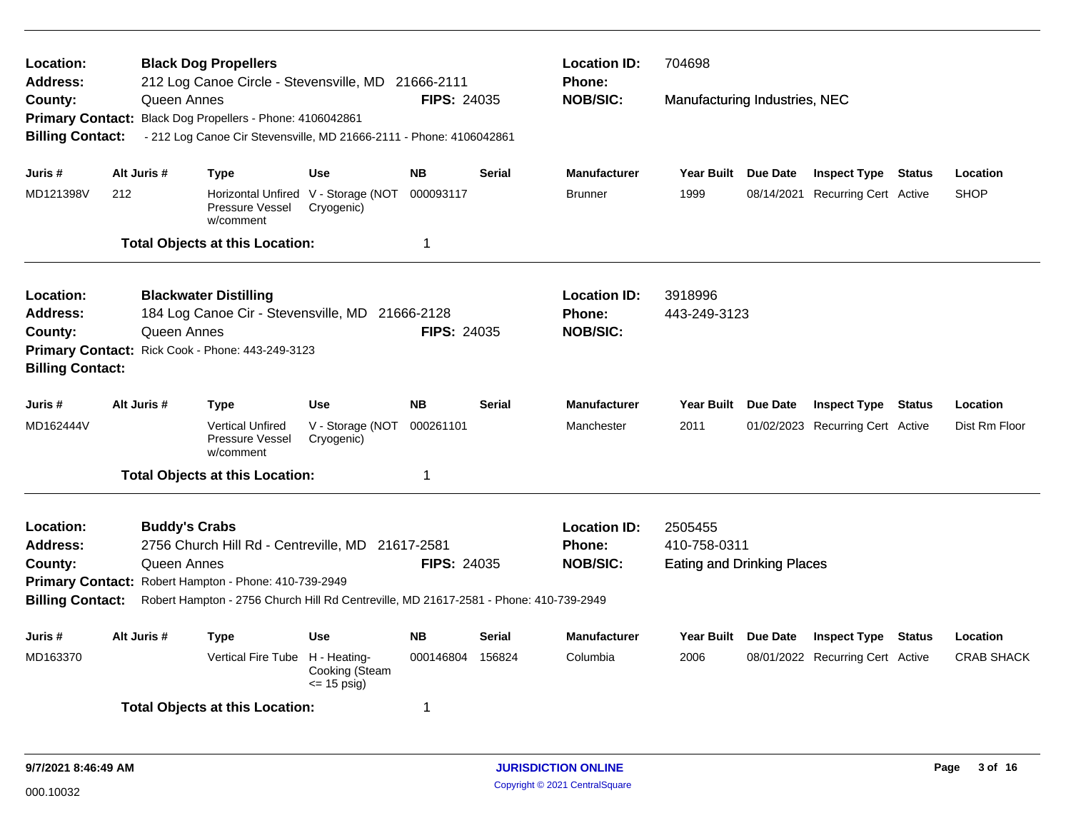| Location:<br>Address:<br>County:<br><b>Billing Contact:</b>        | Queen Annes                                                                                                                                                                                                                                                                                | <b>Black Dog Propellers</b><br>212 Log Canoe Circle - Stevensville, MD 21666-2111<br>Primary Contact: Black Dog Propellers - Phone: 4106042861<br>- 212 Log Canoe Cir Stevensville, MD 21666-2111 - Phone: 4106042861 |                                                   | <b>FIPS: 24035</b> |               | <b>Location ID:</b><br><b>Phone:</b><br><b>NOB/SIC:</b> | 704698<br>Manufacturing Industries, NEC                      |                                  |        |                   |
|--------------------------------------------------------------------|--------------------------------------------------------------------------------------------------------------------------------------------------------------------------------------------------------------------------------------------------------------------------------------------|-----------------------------------------------------------------------------------------------------------------------------------------------------------------------------------------------------------------------|---------------------------------------------------|--------------------|---------------|---------------------------------------------------------|--------------------------------------------------------------|----------------------------------|--------|-------------------|
| Juris #                                                            | Alt Juris #                                                                                                                                                                                                                                                                                | Type                                                                                                                                                                                                                  | <b>Use</b>                                        | <b>NB</b>          | <b>Serial</b> | <b>Manufacturer</b>                                     | Year Built Due Date                                          | <b>Inspect Type Status</b>       |        | Location          |
| MD121398V                                                          | 212                                                                                                                                                                                                                                                                                        | Pressure Vessel<br>w/comment                                                                                                                                                                                          | Horizontal Unfired V - Storage (NOT<br>Cryogenic) | 000093117          |               | <b>Brunner</b>                                          | 1999                                                         | 08/14/2021 Recurring Cert Active |        | <b>SHOP</b>       |
|                                                                    |                                                                                                                                                                                                                                                                                            | <b>Total Objects at this Location:</b>                                                                                                                                                                                |                                                   | $\mathbf{1}$       |               |                                                         |                                                              |                                  |        |                   |
| Location:<br><b>Address:</b><br>County:<br><b>Billing Contact:</b> | Queen Annes                                                                                                                                                                                                                                                                                | <b>Blackwater Distilling</b><br>184 Log Canoe Cir - Stevensville, MD 21666-2128<br>Primary Contact: Rick Cook - Phone: 443-249-3123                                                                                   |                                                   | <b>FIPS: 24035</b> |               | <b>Location ID:</b><br><b>Phone:</b><br><b>NOB/SIC:</b> | 3918996<br>443-249-3123                                      |                                  |        |                   |
| Juris #                                                            | Alt Juris #                                                                                                                                                                                                                                                                                | Type                                                                                                                                                                                                                  | <b>Use</b>                                        | <b>NB</b>          | <b>Serial</b> | <b>Manufacturer</b>                                     | Year Built Due Date                                          | <b>Inspect Type Status</b>       |        | Location          |
| MD162444V                                                          |                                                                                                                                                                                                                                                                                            | <b>Vertical Unfired</b><br>Pressure Vessel<br>w/comment                                                                                                                                                               | V - Storage (NOT<br>Cryogenic)                    | 000261101          |               | Manchester                                              | 2011                                                         | 01/02/2023 Recurring Cert Active |        | Dist Rm Floor     |
|                                                                    |                                                                                                                                                                                                                                                                                            | <b>Total Objects at this Location:</b>                                                                                                                                                                                |                                                   | $\mathbf 1$        |               |                                                         |                                                              |                                  |        |                   |
| Location:<br>Address:<br>County:                                   | <b>Buddy's Crabs</b><br>2756 Church Hill Rd - Centreville, MD 21617-2581<br>Queen Annes<br><b>FIPS: 24035</b><br>Primary Contact: Robert Hampton - Phone: 410-739-2949<br>Robert Hampton - 2756 Church Hill Rd Centreville, MD 21617-2581 - Phone: 410-739-2949<br><b>Billing Contact:</b> |                                                                                                                                                                                                                       |                                                   |                    |               | <b>Location ID:</b><br><b>Phone:</b><br><b>NOB/SIC:</b> | 2505455<br>410-758-0311<br><b>Eating and Drinking Places</b> |                                  |        |                   |
| Juris #                                                            | Alt Juris #                                                                                                                                                                                                                                                                                | <b>Type</b>                                                                                                                                                                                                           | <b>Use</b>                                        | <b>NB</b>          | <b>Serial</b> | <b>Manufacturer</b>                                     | Year Built Due Date                                          | <b>Inspect Type</b>              | Status | Location          |
| MD163370                                                           |                                                                                                                                                                                                                                                                                            | Vertical Fire Tube H - Heating-                                                                                                                                                                                       | Cooking (Steam<br>$=$ 15 psig)                    | 000146804 156824   |               | Columbia                                                | 2006                                                         | 08/01/2022 Recurring Cert Active |        | <b>CRAB SHACK</b> |
|                                                                    |                                                                                                                                                                                                                                                                                            | <b>Total Objects at this Location:</b>                                                                                                                                                                                |                                                   | -1                 |               |                                                         |                                                              |                                  |        |                   |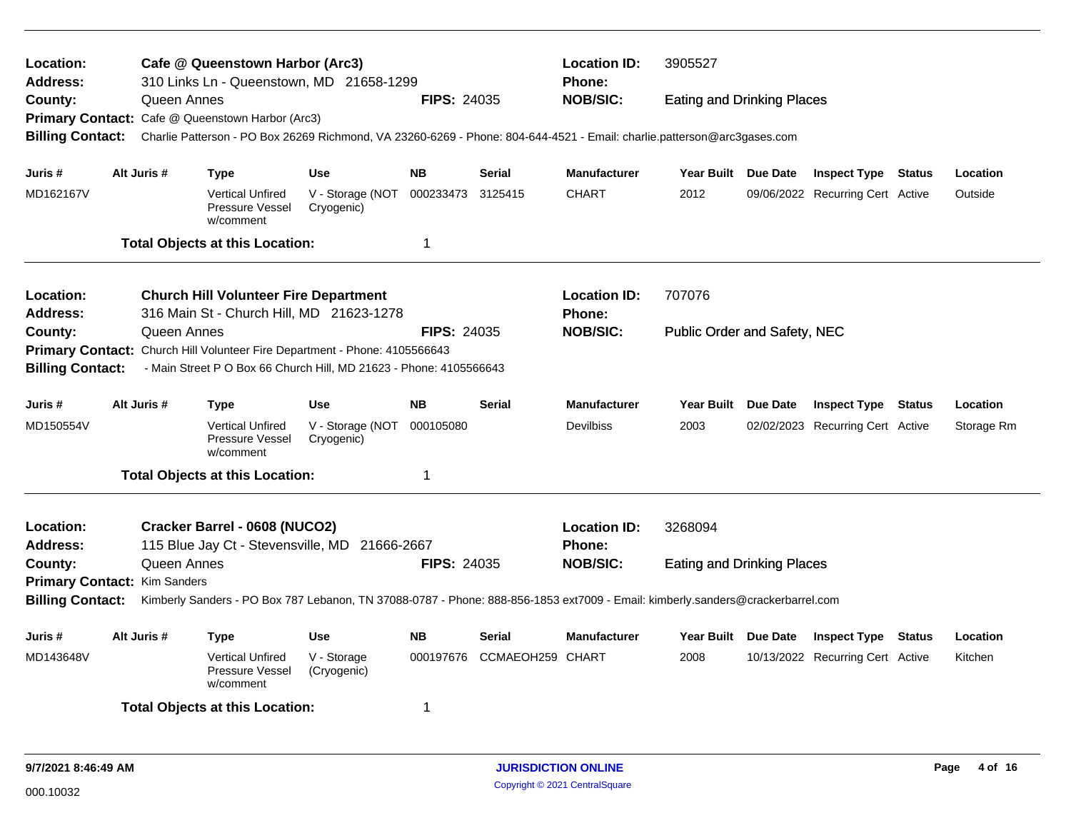| Location:<br><b>Address:</b>                            |             | Cafe @ Queenstown Harbor (Arc3)<br>310 Links Ln - Queenstown, MD 21658-1299                                                    |                                          |                    |                  | <b>Location ID:</b><br><b>Phone:</b> | 3905527                             |          |                                  |            |
|---------------------------------------------------------|-------------|--------------------------------------------------------------------------------------------------------------------------------|------------------------------------------|--------------------|------------------|--------------------------------------|-------------------------------------|----------|----------------------------------|------------|
| County:                                                 | Queen Annes |                                                                                                                                |                                          | <b>FIPS: 24035</b> |                  | <b>NOB/SIC:</b>                      | <b>Eating and Drinking Places</b>   |          |                                  |            |
|                                                         |             | Primary Contact: Cafe @ Queenstown Harbor (Arc3)                                                                               |                                          |                    |                  |                                      |                                     |          |                                  |            |
| <b>Billing Contact:</b>                                 |             | Charlie Patterson - PO Box 26269 Richmond, VA 23260-6269 - Phone: 804-644-4521 - Email: charlie.patterson@arc3gases.com        |                                          |                    |                  |                                      |                                     |          |                                  |            |
| Juris #                                                 | Alt Juris # | <b>Type</b>                                                                                                                    | <b>Use</b>                               | <b>NB</b>          | <b>Serial</b>    | <b>Manufacturer</b>                  | Year Built Due Date                 |          | <b>Inspect Type Status</b>       | Location   |
| MD162167V                                               |             | <b>Vertical Unfired</b><br>Pressure Vessel<br>w/comment                                                                        | V - Storage (NOT 000233473<br>Cryogenic) |                    | 3125415          | <b>CHART</b>                         | 2012                                |          | 09/06/2022 Recurring Cert Active | Outside    |
|                                                         |             | <b>Total Objects at this Location:</b>                                                                                         |                                          | 1                  |                  |                                      |                                     |          |                                  |            |
| Location:                                               |             | <b>Church Hill Volunteer Fire Department</b>                                                                                   |                                          |                    |                  | <b>Location ID:</b>                  | 707076                              |          |                                  |            |
| <b>Address:</b>                                         |             | 316 Main St - Church Hill, MD 21623-1278                                                                                       |                                          |                    |                  | <b>Phone:</b>                        |                                     |          |                                  |            |
| County:                                                 | Queen Annes |                                                                                                                                |                                          | <b>FIPS: 24035</b> |                  | <b>NOB/SIC:</b>                      | <b>Public Order and Safety, NEC</b> |          |                                  |            |
|                                                         |             | Primary Contact: Church Hill Volunteer Fire Department - Phone: 4105566643                                                     |                                          |                    |                  |                                      |                                     |          |                                  |            |
| <b>Billing Contact:</b>                                 |             | - Main Street P O Box 66 Church Hill, MD 21623 - Phone: 4105566643                                                             |                                          |                    |                  |                                      |                                     |          |                                  |            |
| Juris #                                                 | Alt Juris # | <b>Type</b>                                                                                                                    | <b>Use</b>                               | <b>NB</b>          | <b>Serial</b>    | <b>Manufacturer</b>                  | <b>Year Built</b>                   | Due Date | <b>Inspect Type Status</b>       | Location   |
| MD150554V                                               |             | <b>Vertical Unfired</b><br>Pressure Vessel<br>w/comment                                                                        | V - Storage (NOT 000105080<br>Cryogenic) |                    |                  | <b>Devilbiss</b>                     | 2003                                |          | 02/02/2023 Recurring Cert Active | Storage Rm |
|                                                         |             | <b>Total Objects at this Location:</b>                                                                                         |                                          | 1                  |                  |                                      |                                     |          |                                  |            |
| Location:                                               |             | Cracker Barrel - 0608 (NUCO2)                                                                                                  |                                          |                    |                  | <b>Location ID:</b>                  | 3268094                             |          |                                  |            |
| <b>Address:</b>                                         |             | 115 Blue Jay Ct - Stevensville, MD 21666-2667                                                                                  |                                          |                    |                  | <b>Phone:</b>                        |                                     |          |                                  |            |
| County:                                                 | Queen Annes |                                                                                                                                |                                          | <b>FIPS: 24035</b> |                  | <b>NOB/SIC:</b>                      | <b>Eating and Drinking Places</b>   |          |                                  |            |
| Primary Contact: Kim Sanders<br><b>Billing Contact:</b> |             | Kimberly Sanders - PO Box 787 Lebanon, TN 37088-0787 - Phone: 888-856-1853 ext7009 - Email: kimberly.sanders@crackerbarrel.com |                                          |                    |                  |                                      |                                     |          |                                  |            |
| Juris #                                                 | Alt Juris # | <b>Type</b>                                                                                                                    | <b>Use</b>                               | <b>NB</b>          | <b>Serial</b>    | <b>Manufacturer</b>                  | Year Built Due Date                 |          | <b>Inspect Type Status</b>       | Location   |
| MD143648V                                               |             | <b>Vertical Unfired</b><br><b>Pressure Vessel</b><br>w/comment                                                                 | V - Storage<br>(Cryogenic)               | 000197676          | CCMAEOH259 CHART |                                      | 2008                                |          | 10/13/2022 Recurring Cert Active | Kitchen    |
|                                                         |             | <b>Total Objects at this Location:</b>                                                                                         |                                          | 1                  |                  |                                      |                                     |          |                                  |            |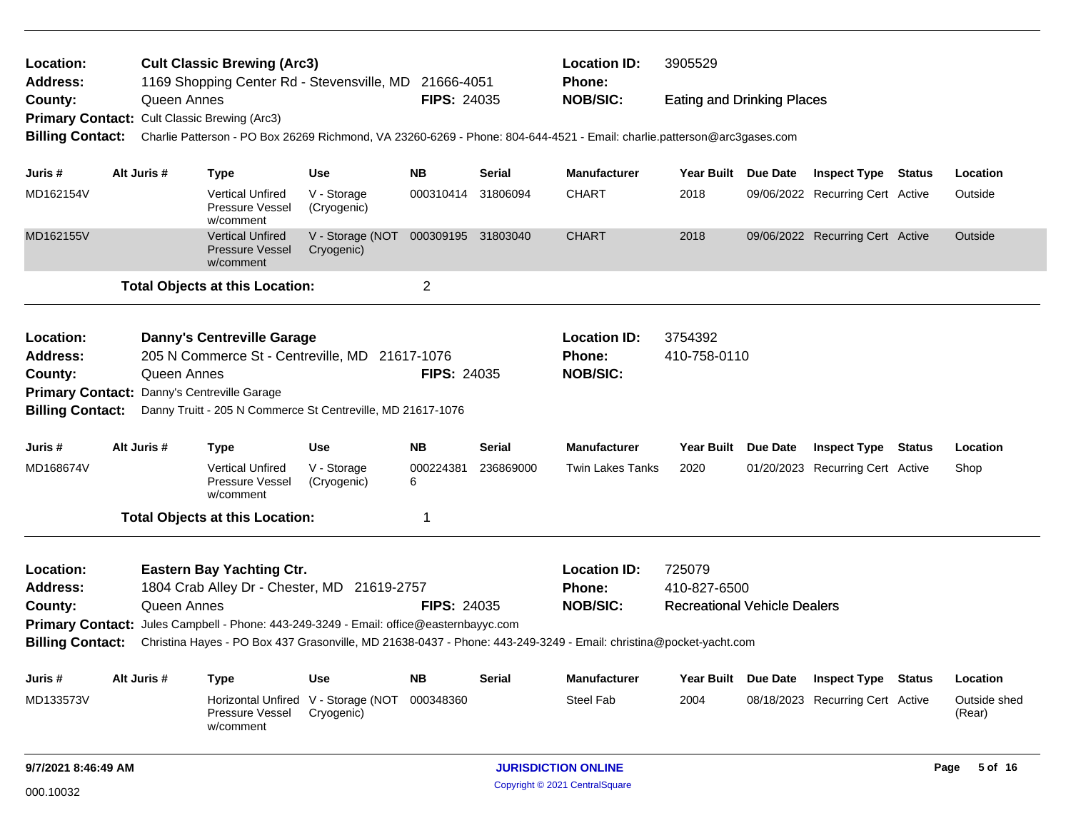| Location:<br><b>Address:</b> |             | <b>Cult Classic Brewing (Arc3)</b><br>1169 Shopping Center Rd - Stevensville, MD 21666-4051 |                                |                    |               | <b>Location ID:</b><br>Phone:                                                                                           | 3905529                             |                                  |      |                        |
|------------------------------|-------------|---------------------------------------------------------------------------------------------|--------------------------------|--------------------|---------------|-------------------------------------------------------------------------------------------------------------------------|-------------------------------------|----------------------------------|------|------------------------|
| County:                      | Queen Annes |                                                                                             |                                | <b>FIPS: 24035</b> |               | <b>NOB/SIC:</b>                                                                                                         | <b>Eating and Drinking Places</b>   |                                  |      |                        |
|                              |             | Primary Contact: Cult Classic Brewing (Arc3)                                                |                                |                    |               |                                                                                                                         |                                     |                                  |      |                        |
| <b>Billing Contact:</b>      |             |                                                                                             |                                |                    |               | Charlie Patterson - PO Box 26269 Richmond, VA 23260-6269 - Phone: 804-644-4521 - Email: charlie.patterson@arc3gases.com |                                     |                                  |      |                        |
| Juris #                      | Alt Juris # | <b>Type</b>                                                                                 | <b>Use</b>                     | NB.                | <b>Serial</b> | <b>Manufacturer</b>                                                                                                     | Year Built Due Date                 | <b>Inspect Type Status</b>       |      | Location               |
| MD162154V                    |             | <b>Vertical Unfired</b><br>Pressure Vessel<br>w/comment                                     | V - Storage<br>(Cryogenic)     | 000310414          | 31806094      | <b>CHART</b>                                                                                                            | 2018                                | 09/06/2022 Recurring Cert Active |      | Outside                |
| MD162155V                    |             | <b>Vertical Unfired</b><br><b>Pressure Vessel</b><br>w/comment                              | V - Storage (NOT<br>Cryogenic) | 000309195 31803040 |               | <b>CHART</b>                                                                                                            | 2018                                | 09/06/2022 Recurring Cert Active |      | Outside                |
|                              |             | <b>Total Objects at this Location:</b>                                                      |                                | $\overline{c}$     |               |                                                                                                                         |                                     |                                  |      |                        |
| Location:                    |             | <b>Danny's Centreville Garage</b>                                                           |                                |                    |               | <b>Location ID:</b>                                                                                                     | 3754392                             |                                  |      |                        |
| <b>Address:</b>              |             | 205 N Commerce St - Centreville, MD 21617-1076                                              |                                |                    |               | Phone:                                                                                                                  | 410-758-0110                        |                                  |      |                        |
| County:                      | Queen Annes |                                                                                             |                                | <b>FIPS: 24035</b> |               | <b>NOB/SIC:</b>                                                                                                         |                                     |                                  |      |                        |
|                              |             | Primary Contact: Danny's Centreville Garage                                                 |                                |                    |               |                                                                                                                         |                                     |                                  |      |                        |
| <b>Billing Contact:</b>      |             | Danny Truitt - 205 N Commerce St Centreville, MD 21617-1076                                 |                                |                    |               |                                                                                                                         |                                     |                                  |      |                        |
| Juris #                      | Alt Juris # | <b>Type</b>                                                                                 | <b>Use</b>                     | NB.                | <b>Serial</b> | <b>Manufacturer</b>                                                                                                     | Year Built Due Date                 | <b>Inspect Type Status</b>       |      | Location               |
| MD168674V                    |             | <b>Vertical Unfired</b><br>Pressure Vessel<br>w/comment                                     | V - Storage<br>(Cryogenic)     | 000224381<br>6     | 236869000     | <b>Twin Lakes Tanks</b>                                                                                                 | 2020                                | 01/20/2023 Recurring Cert Active |      | Shop                   |
|                              |             | <b>Total Objects at this Location:</b>                                                      |                                | 1                  |               |                                                                                                                         |                                     |                                  |      |                        |
| Location:                    |             | <b>Eastern Bay Yachting Ctr.</b>                                                            |                                |                    |               | <b>Location ID:</b>                                                                                                     | 725079                              |                                  |      |                        |
| Address:                     |             | 1804 Crab Alley Dr - Chester, MD 21619-2757                                                 |                                |                    |               | Phone:                                                                                                                  | 410-827-6500                        |                                  |      |                        |
| County:                      | Queen Annes |                                                                                             |                                | <b>FIPS: 24035</b> |               | <b>NOB/SIC:</b>                                                                                                         | <b>Recreational Vehicle Dealers</b> |                                  |      |                        |
|                              |             | Primary Contact: Jules Campbell - Phone: 443-249-3249 - Email: office@easternbayyc.com      |                                |                    |               |                                                                                                                         |                                     |                                  |      |                        |
| <b>Billing Contact:</b>      |             |                                                                                             |                                |                    |               | Christina Hayes - PO Box 437 Grasonville, MD 21638-0437 - Phone: 443-249-3249 - Email: christina@pocket-yacht.com       |                                     |                                  |      |                        |
| Juris #                      | Alt Juris # | <b>Type</b>                                                                                 | Use                            | <b>NB</b>          | Serial        | <b>Manufacturer</b>                                                                                                     | Year Built Due Date                 | <b>Inspect Type Status</b>       |      | Location               |
| MD133573V                    |             | <b>Horizontal Unfired</b><br><b>Pressure Vessel</b><br>w/comment                            | V - Storage (NOT<br>Cryogenic) | 000348360          |               | <b>Steel Fab</b>                                                                                                        | 2004                                | 08/18/2023 Recurring Cert Active |      | Outside shed<br>(Rear) |
| 9/7/2021 8:46:49 AM          |             |                                                                                             |                                |                    |               | <b>JURISDICTION ONLINE</b>                                                                                              |                                     |                                  | Page | 5 of 16                |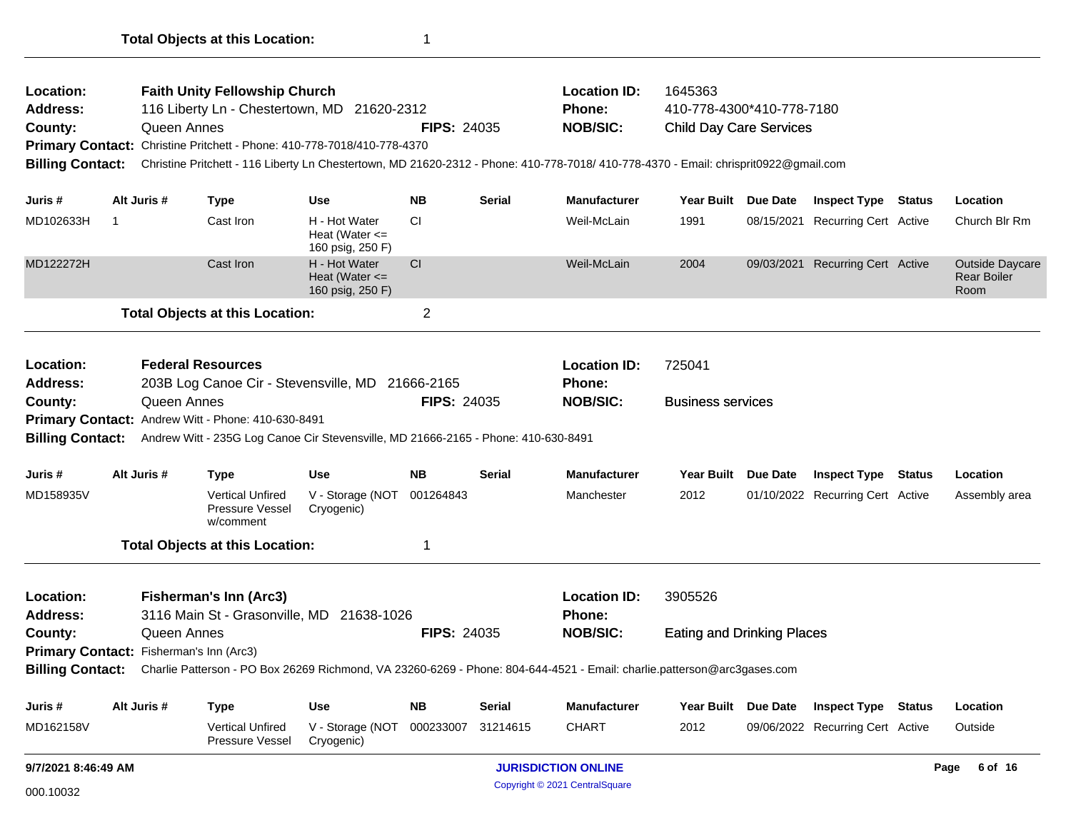| Location:<br><b>Address:</b><br>County:<br><b>Billing Contact:</b> |    | Queen Annes | <b>Faith Unity Fellowship Church</b><br>116 Liberty Ln - Chestertown, MD 21620-2312<br>Primary Contact: Christine Pritchett - Phone: 410-778-7018/410-778-4370 |                                                         | <b>FIPS: 24035</b> |               | <b>Location ID:</b><br><b>Phone:</b><br><b>NOB/SIC:</b><br>Christine Pritchett - 116 Liberty Ln Chestertown, MD 21620-2312 - Phone: 410-778-7018/ 410-778-4370 - Email: chrisprit0922@gmail.com | 1645363<br>410-778-4300*410-778-7180<br><b>Child Day Care Services</b> |                 |                                  |               |                                                      |
|--------------------------------------------------------------------|----|-------------|----------------------------------------------------------------------------------------------------------------------------------------------------------------|---------------------------------------------------------|--------------------|---------------|-------------------------------------------------------------------------------------------------------------------------------------------------------------------------------------------------|------------------------------------------------------------------------|-----------------|----------------------------------|---------------|------------------------------------------------------|
| Juris #                                                            |    | Alt Juris # | <b>Type</b>                                                                                                                                                    | Use                                                     | <b>NB</b>          | <b>Serial</b> | <b>Manufacturer</b>                                                                                                                                                                             | <b>Year Built</b>                                                      | Due Date        | <b>Inspect Type Status</b>       |               | Location                                             |
| MD102633H                                                          | -1 |             | Cast Iron                                                                                                                                                      | H - Hot Water<br>Heat (Water $\leq$<br>160 psig, 250 F) | <b>CI</b>          |               | Weil-McLain                                                                                                                                                                                     | 1991                                                                   |                 | 08/15/2021 Recurring Cert Active |               | Church Blr Rm                                        |
| MD122272H                                                          |    |             | Cast Iron                                                                                                                                                      | H - Hot Water<br>Heat (Water $\leq$<br>160 psig, 250 F) | CI                 |               | Weil-McLain                                                                                                                                                                                     | 2004                                                                   |                 | 09/03/2021 Recurring Cert Active |               | <b>Outside Daycare</b><br><b>Rear Boiler</b><br>Room |
|                                                                    |    |             | <b>Total Objects at this Location:</b>                                                                                                                         |                                                         | $\overline{2}$     |               |                                                                                                                                                                                                 |                                                                        |                 |                                  |               |                                                      |
| Location:<br><b>Address:</b>                                       |    |             | <b>Federal Resources</b><br>203B Log Canoe Cir - Stevensville, MD 21666-2165                                                                                   |                                                         |                    |               | <b>Location ID:</b><br><b>Phone:</b>                                                                                                                                                            | 725041                                                                 |                 |                                  |               |                                                      |
| County:                                                            |    | Queen Annes |                                                                                                                                                                |                                                         | <b>FIPS: 24035</b> |               | <b>NOB/SIC:</b>                                                                                                                                                                                 | <b>Business services</b>                                               |                 |                                  |               |                                                      |
|                                                                    |    |             | Primary Contact: Andrew Witt - Phone: 410-630-8491                                                                                                             |                                                         |                    |               |                                                                                                                                                                                                 |                                                                        |                 |                                  |               |                                                      |
| <b>Billing Contact:</b>                                            |    |             | Andrew Witt - 235G Log Canoe Cir Stevensville, MD 21666-2165 - Phone: 410-630-8491                                                                             |                                                         |                    |               |                                                                                                                                                                                                 |                                                                        |                 |                                  |               |                                                      |
| Juris #                                                            |    | Alt Juris # | <b>Type</b>                                                                                                                                                    | <b>Use</b>                                              | <b>NB</b>          | <b>Serial</b> | <b>Manufacturer</b>                                                                                                                                                                             | <b>Year Built</b>                                                      | Due Date        | <b>Inspect Type</b>              | <b>Status</b> | Location                                             |
| MD158935V                                                          |    |             | <b>Vertical Unfired</b><br>Pressure Vessel<br>w/comment                                                                                                        | V - Storage (NOT<br>Cryogenic)                          | 001264843          |               | Manchester                                                                                                                                                                                      | 2012                                                                   |                 | 01/10/2022 Recurring Cert Active |               | Assembly area                                        |
|                                                                    |    |             | <b>Total Objects at this Location:</b>                                                                                                                         |                                                         | 1                  |               |                                                                                                                                                                                                 |                                                                        |                 |                                  |               |                                                      |
| Location:<br><b>Address:</b>                                       |    |             | <b>Fisherman's Inn (Arc3)</b><br>3116 Main St - Grasonville, MD 21638-1026                                                                                     |                                                         |                    |               | <b>Location ID:</b><br><b>Phone:</b>                                                                                                                                                            | 3905526                                                                |                 |                                  |               |                                                      |
| County:                                                            |    | Queen Annes |                                                                                                                                                                |                                                         | <b>FIPS: 24035</b> |               | <b>NOB/SIC:</b>                                                                                                                                                                                 | <b>Eating and Drinking Places</b>                                      |                 |                                  |               |                                                      |
| Primary Contact: Fisherman's Inn (Arc3)                            |    |             |                                                                                                                                                                |                                                         |                    |               |                                                                                                                                                                                                 |                                                                        |                 |                                  |               |                                                      |
| <b>Billing Contact:</b>                                            |    |             |                                                                                                                                                                |                                                         |                    |               | Charlie Patterson - PO Box 26269 Richmond, VA 23260-6269 - Phone: 804-644-4521 - Email: charlie.patterson@arc3gases.com                                                                         |                                                                        |                 |                                  |               |                                                      |
| Juris #                                                            |    | Alt Juris # | <b>Type</b>                                                                                                                                                    | <b>Use</b>                                              | <b>NB</b>          | <b>Serial</b> | <b>Manufacturer</b>                                                                                                                                                                             | <b>Year Built</b>                                                      | <b>Due Date</b> | <b>Inspect Type</b>              | <b>Status</b> | Location                                             |
| MD162158V                                                          |    |             | Vertical Unfired<br>Pressure Vessel                                                                                                                            | V - Storage (NOT<br>Cryogenic)                          | 000233007          | 31214615      | <b>CHART</b>                                                                                                                                                                                    | 2012                                                                   |                 | 09/06/2022 Recurring Cert Active |               | Outside                                              |
| 9/7/2021 8:46:49 AM                                                |    |             |                                                                                                                                                                |                                                         |                    |               | <b>JURISDICTION ONLINE</b>                                                                                                                                                                      |                                                                        |                 |                                  |               | 6 of 16<br>Page                                      |
| 000.10032                                                          |    |             |                                                                                                                                                                |                                                         |                    |               | Copyright © 2021 CentralSquare                                                                                                                                                                  |                                                                        |                 |                                  |               |                                                      |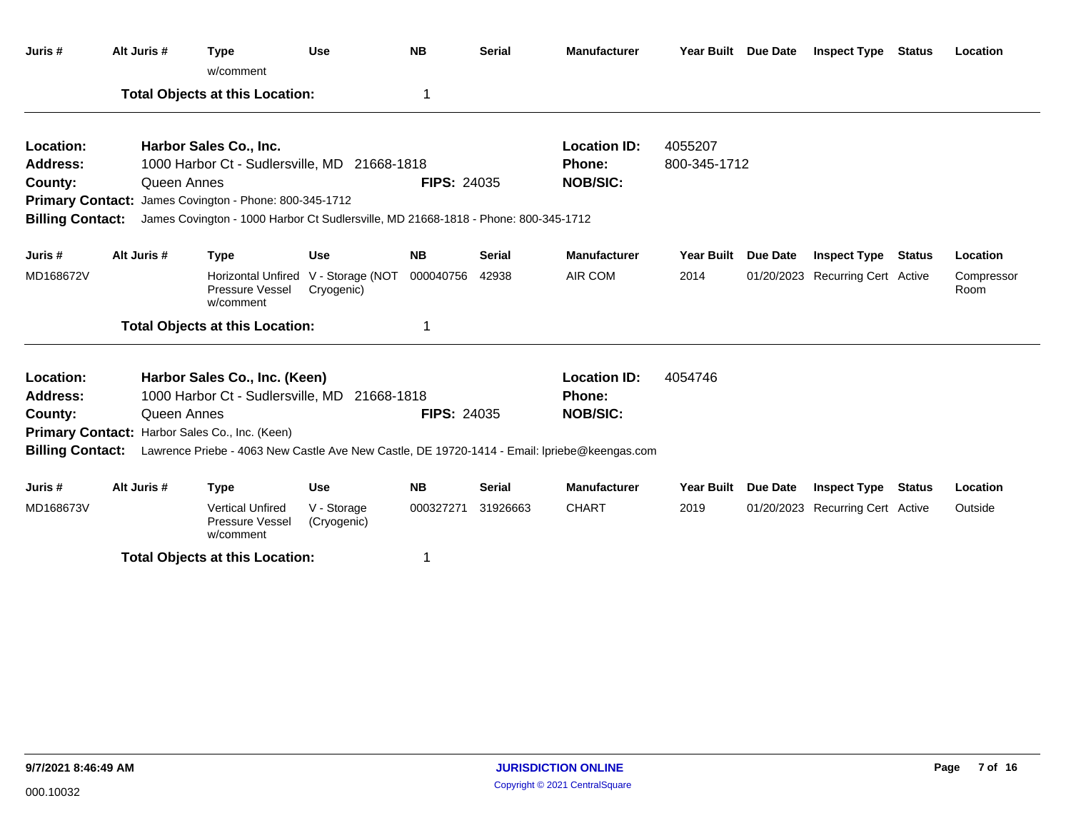| Juris #                 | Alt Juris # | <b>Type</b><br>w/comment                                                                                      | <b>Use</b>                     | <b>NB</b>          | <b>Serial</b> | <b>Manufacturer</b> | Year Built Due Date |          | <b>Inspect Type Status</b>       |               | Location           |
|-------------------------|-------------|---------------------------------------------------------------------------------------------------------------|--------------------------------|--------------------|---------------|---------------------|---------------------|----------|----------------------------------|---------------|--------------------|
|                         |             | <b>Total Objects at this Location:</b>                                                                        |                                | 1                  |               |                     |                     |          |                                  |               |                    |
| Location:               |             | Harbor Sales Co., Inc.                                                                                        |                                |                    |               | <b>Location ID:</b> | 4055207             |          |                                  |               |                    |
| <b>Address:</b>         |             | 1000 Harbor Ct - Sudlersville, MD 21668-1818                                                                  |                                |                    |               | Phone:              | 800-345-1712        |          |                                  |               |                    |
| County:                 | Queen Annes |                                                                                                               |                                | <b>FIPS: 24035</b> |               | <b>NOB/SIC:</b>     |                     |          |                                  |               |                    |
|                         |             | Primary Contact: James Covington - Phone: 800-345-1712                                                        |                                |                    |               |                     |                     |          |                                  |               |                    |
| <b>Billing Contact:</b> |             | James Covington - 1000 Harbor Ct Sudlersville, MD 21668-1818 - Phone: 800-345-1712                            |                                |                    |               |                     |                     |          |                                  |               |                    |
| Juris#                  | Alt Juris # | <b>Type</b>                                                                                                   | <b>Use</b>                     | <b>NB</b>          | <b>Serial</b> | <b>Manufacturer</b> | Year Built Due Date |          | <b>Inspect Type</b>              | <b>Status</b> | Location           |
| MD168672V               |             | <b>Horizontal Unfired</b><br>Pressure Vessel<br>w/comment                                                     | V - Storage (NOT<br>Cryogenic) | 000040756          | 42938         | AIR COM             | 2014                |          | 01/20/2023 Recurring Cert Active |               | Compressor<br>Room |
|                         |             | <b>Total Objects at this Location:</b>                                                                        |                                | 1                  |               |                     |                     |          |                                  |               |                    |
| Location:               |             | Harbor Sales Co., Inc. (Keen)                                                                                 |                                |                    |               | <b>Location ID:</b> | 4054746             |          |                                  |               |                    |
| <b>Address:</b>         |             | 1000 Harbor Ct - Sudlersville, MD 21668-1818                                                                  |                                |                    |               | <b>Phone:</b>       |                     |          |                                  |               |                    |
| County:                 | Queen Annes |                                                                                                               |                                | <b>FIPS: 24035</b> |               | <b>NOB/SIC:</b>     |                     |          |                                  |               |                    |
|                         |             | Primary Contact: Harbor Sales Co., Inc. (Keen)                                                                |                                |                    |               |                     |                     |          |                                  |               |                    |
|                         |             | Billing Contact: Lawrence Priebe - 4063 New Castle Ave New Castle, DE 19720-1414 - Email: Ipriebe@keengas.com |                                |                    |               |                     |                     |          |                                  |               |                    |
| Juris#                  | Alt Juris # | <b>Type</b>                                                                                                   | <b>Use</b>                     | <b>NB</b>          | <b>Serial</b> | <b>Manufacturer</b> | <b>Year Built</b>   | Due Date | <b>Inspect Type</b>              | <b>Status</b> | Location           |
| MD168673V               |             | <b>Vertical Unfired</b><br>Pressure Vessel<br>w/comment                                                       | V - Storage<br>(Cryogenic)     | 000327271          | 31926663      | <b>CHART</b>        | 2019                |          | 01/20/2023 Recurring Cert Active |               | Outside            |
|                         |             | Total Ohiocte at this Location:                                                                               |                                |                    |               |                     |                     |          |                                  |               |                    |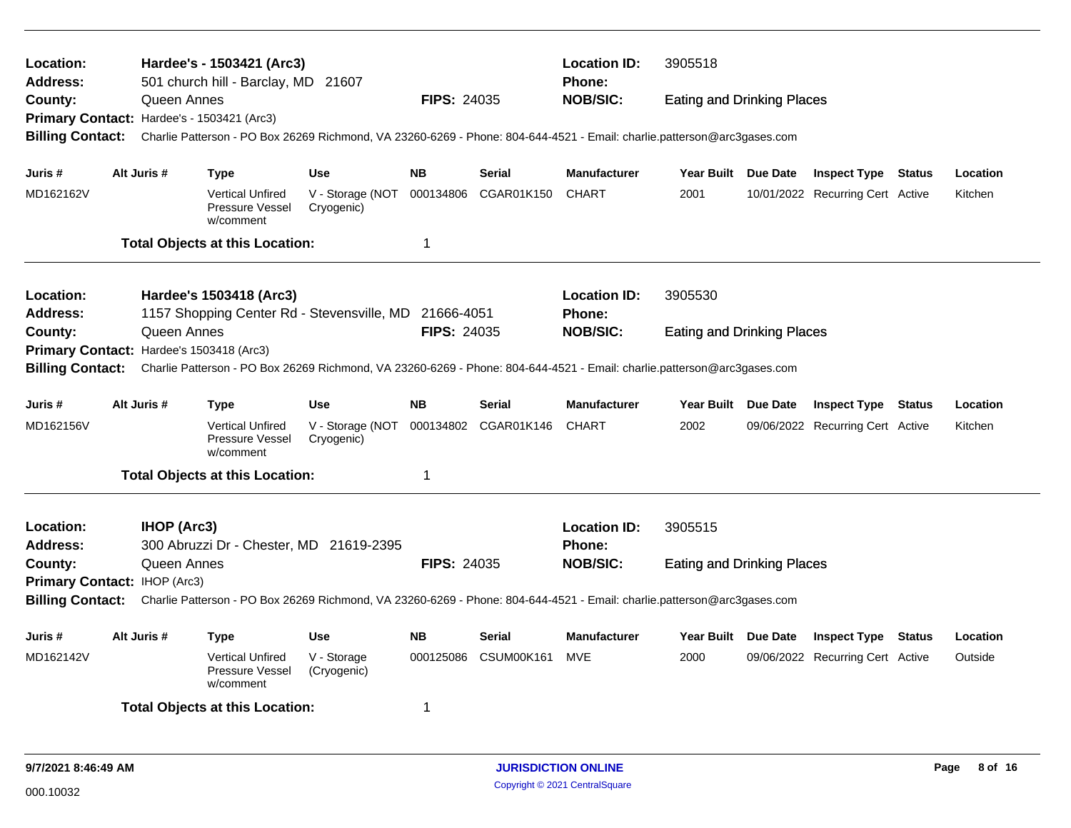| Location:<br>Address:<br>County:           |  |                    | Hardee's - 1503421 (Arc3)<br>501 church hill - Barclay, MD 21607 |                                                                                                                         |                    |                      | <b>Location ID:</b><br><b>Phone:</b> | 3905518                           |                                  |          |
|--------------------------------------------|--|--------------------|------------------------------------------------------------------|-------------------------------------------------------------------------------------------------------------------------|--------------------|----------------------|--------------------------------------|-----------------------------------|----------------------------------|----------|
|                                            |  | Queen Annes        |                                                                  |                                                                                                                         | <b>FIPS: 24035</b> |                      | <b>NOB/SIC:</b>                      | <b>Eating and Drinking Places</b> |                                  |          |
| Primary Contact: Hardee's - 1503421 (Arc3) |  |                    |                                                                  |                                                                                                                         |                    |                      |                                      |                                   |                                  |          |
| <b>Billing Contact:</b>                    |  |                    |                                                                  | Charlie Patterson - PO Box 26269 Richmond, VA 23260-6269 - Phone: 804-644-4521 - Email: charlie.patterson@arc3gases.com |                    |                      |                                      |                                   |                                  |          |
| Juris #                                    |  | Alt Juris #        | <b>Type</b>                                                      | <b>Use</b>                                                                                                              | <b>NB</b>          | <b>Serial</b>        | <b>Manufacturer</b>                  | Year Built Due Date               | <b>Inspect Type Status</b>       | Location |
| MD162162V                                  |  |                    | <b>Vertical Unfired</b><br>Pressure Vessel<br>w/comment          | V - Storage (NOT 000134806<br>Cryogenic)                                                                                |                    | CGAR01K150           | <b>CHART</b>                         | 2001                              | 10/01/2022 Recurring Cert Active | Kitchen  |
|                                            |  |                    | <b>Total Objects at this Location:</b>                           |                                                                                                                         | 1                  |                      |                                      |                                   |                                  |          |
| Location:                                  |  |                    | Hardee's 1503418 (Arc3)                                          |                                                                                                                         |                    |                      | <b>Location ID:</b>                  | 3905530                           |                                  |          |
| <b>Address:</b>                            |  |                    |                                                                  | 1157 Shopping Center Rd - Stevensville, MD 21666-4051                                                                   |                    |                      | <b>Phone:</b>                        |                                   |                                  |          |
| County:                                    |  | Queen Annes        |                                                                  |                                                                                                                         | <b>FIPS: 24035</b> |                      | <b>NOB/SIC:</b>                      | <b>Eating and Drinking Places</b> |                                  |          |
| Primary Contact: Hardee's 1503418 (Arc3)   |  |                    |                                                                  |                                                                                                                         |                    |                      |                                      |                                   |                                  |          |
| <b>Billing Contact:</b>                    |  |                    |                                                                  | Charlie Patterson - PO Box 26269 Richmond, VA 23260-6269 - Phone: 804-644-4521 - Email: charlie.patterson@arc3gases.com |                    |                      |                                      |                                   |                                  |          |
| Juris #                                    |  | Alt Juris #        | <b>Type</b>                                                      | <b>Use</b>                                                                                                              | <b>NB</b>          | <b>Serial</b>        | <b>Manufacturer</b>                  | Year Built Due Date               | <b>Inspect Type Status</b>       | Location |
| MD162156V                                  |  |                    | <b>Vertical Unfired</b><br>Pressure Vessel<br>w/comment          | V - Storage (NOT<br>Cryogenic)                                                                                          |                    | 000134802 CGAR01K146 | <b>CHART</b>                         | 2002                              | 09/06/2022 Recurring Cert Active | Kitchen  |
|                                            |  |                    | <b>Total Objects at this Location:</b>                           |                                                                                                                         | 1                  |                      |                                      |                                   |                                  |          |
| Location:<br><b>Address:</b>               |  | <b>IHOP (Arc3)</b> | 300 Abruzzi Dr - Chester, MD 21619-2395                          |                                                                                                                         |                    |                      | <b>Location ID:</b><br>Phone:        | 3905515                           |                                  |          |
| County:                                    |  | Queen Annes        |                                                                  |                                                                                                                         | <b>FIPS: 24035</b> |                      | <b>NOB/SIC:</b>                      | <b>Eating and Drinking Places</b> |                                  |          |
| Primary Contact: IHOP (Arc3)               |  |                    |                                                                  |                                                                                                                         |                    |                      |                                      |                                   |                                  |          |
| <b>Billing Contact:</b>                    |  |                    |                                                                  | Charlie Patterson - PO Box 26269 Richmond, VA 23260-6269 - Phone: 804-644-4521 - Email: charlie.patterson@arc3gases.com |                    |                      |                                      |                                   |                                  |          |
| Juris #                                    |  | Alt Juris #        | <b>Type</b>                                                      | <b>Use</b>                                                                                                              | <b>NB</b>          | Serial               | Manufacturer                         | Year Built Due Date               | <b>Inspect Type Status</b>       | Location |
| MD162142V                                  |  |                    | <b>Vertical Unfired</b><br>Pressure Vessel<br>w/comment          | V - Storage<br>(Cryogenic)                                                                                              | 000125086          | CSUM00K161           | <b>MVE</b>                           | 2000                              | 09/06/2022 Recurring Cert Active | Outside  |
|                                            |  |                    | <b>Total Objects at this Location:</b>                           |                                                                                                                         | 1                  |                      |                                      |                                   |                                  |          |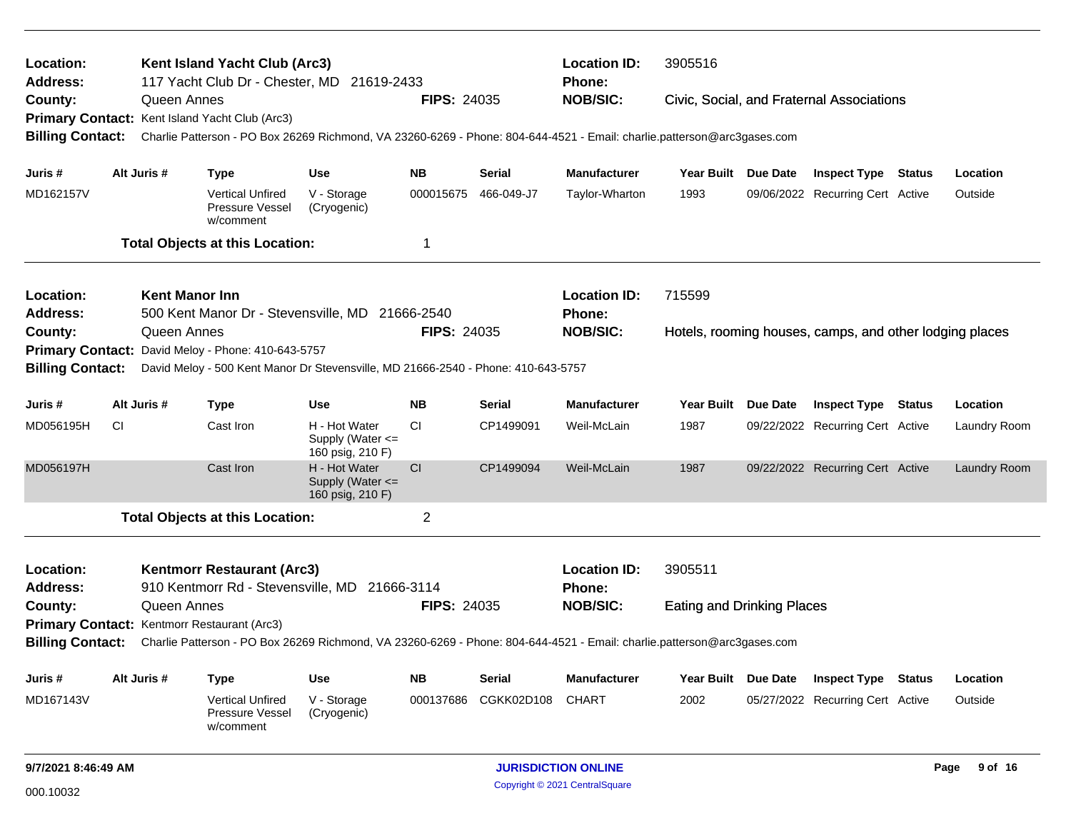| Location:<br>Address:   |           |                       | Kent Island Yacht Club (Arc3)<br>117 Yacht Club Dr - Chester, MD 21619-2433                                             |                                                       |                    |               | <b>Location ID:</b><br><b>Phone:</b> | 3905516                           |                                                         |              |
|-------------------------|-----------|-----------------------|-------------------------------------------------------------------------------------------------------------------------|-------------------------------------------------------|--------------------|---------------|--------------------------------------|-----------------------------------|---------------------------------------------------------|--------------|
| County:                 |           | Queen Annes           |                                                                                                                         |                                                       | <b>FIPS: 24035</b> |               | <b>NOB/SIC:</b>                      |                                   | Civic, Social, and Fraternal Associations               |              |
|                         |           |                       | Primary Contact: Kent Island Yacht Club (Arc3)                                                                          |                                                       |                    |               |                                      |                                   |                                                         |              |
| <b>Billing Contact:</b> |           |                       | Charlie Patterson - PO Box 26269 Richmond, VA 23260-6269 - Phone: 804-644-4521 - Email: charlie.patterson@arc3gases.com |                                                       |                    |               |                                      |                                   |                                                         |              |
| Juris #                 |           | Alt Juris #           | <b>Type</b>                                                                                                             | Use                                                   | <b>NB</b>          | Serial        | <b>Manufacturer</b>                  | Year Built Due Date               | <b>Inspect Type Status</b>                              | Location     |
| MD162157V               |           |                       | <b>Vertical Unfired</b><br>Pressure Vessel<br>w/comment                                                                 | V - Storage<br>(Cryogenic)                            | 000015675          | 466-049-J7    | Taylor-Wharton                       | 1993                              | 09/06/2022 Recurring Cert Active                        | Outside      |
|                         |           |                       | <b>Total Objects at this Location:</b>                                                                                  |                                                       | 1                  |               |                                      |                                   |                                                         |              |
| Location:               |           | <b>Kent Manor Inn</b> |                                                                                                                         |                                                       |                    |               | <b>Location ID:</b>                  | 715599                            |                                                         |              |
| <b>Address:</b>         |           |                       | 500 Kent Manor Dr - Stevensville, MD 21666-2540                                                                         |                                                       |                    |               | Phone:                               |                                   |                                                         |              |
| County:                 |           | Queen Annes           |                                                                                                                         |                                                       | <b>FIPS: 24035</b> |               | <b>NOB/SIC:</b>                      |                                   | Hotels, rooming houses, camps, and other lodging places |              |
| <b>Primary Contact:</b> |           |                       | David Meloy - Phone: 410-643-5757                                                                                       |                                                       |                    |               |                                      |                                   |                                                         |              |
| <b>Billing Contact:</b> |           |                       | David Meloy - 500 Kent Manor Dr Stevensville, MD 21666-2540 - Phone: 410-643-5757                                       |                                                       |                    |               |                                      |                                   |                                                         |              |
| Juris #                 |           | Alt Juris #           | <b>Type</b>                                                                                                             | Use                                                   | <b>NB</b>          | <b>Serial</b> | <b>Manufacturer</b>                  | Year Built Due Date               | <b>Inspect Type Status</b>                              | Location     |
| MD056195H               | <b>CI</b> |                       | Cast Iron                                                                                                               | H - Hot Water<br>Supply (Water <=<br>160 psig, 210 F) | CI.                | CP1499091     | Weil-McLain                          | 1987                              | 09/22/2022 Recurring Cert Active                        | Laundry Room |
| MD056197H               |           |                       | Cast Iron                                                                                                               | H - Hot Water<br>Supply (Water <=<br>160 psig, 210 F) | CI                 | CP1499094     | Weil-McLain                          | 1987                              | 09/22/2022 Recurring Cert Active                        | Laundry Room |
|                         |           |                       | <b>Total Objects at this Location:</b>                                                                                  |                                                       | $\overline{2}$     |               |                                      |                                   |                                                         |              |
| Location:               |           |                       | <b>Kentmorr Restaurant (Arc3)</b>                                                                                       |                                                       |                    |               | <b>Location ID:</b>                  | 3905511                           |                                                         |              |
| <b>Address:</b>         |           |                       | 910 Kentmorr Rd - Stevensville, MD 21666-3114                                                                           |                                                       |                    |               | <b>Phone:</b>                        |                                   |                                                         |              |
| County:                 |           | Queen Annes           |                                                                                                                         |                                                       | <b>FIPS: 24035</b> |               | <b>NOB/SIC:</b>                      | <b>Eating and Drinking Places</b> |                                                         |              |
|                         |           |                       | Primary Contact: Kentmorr Restaurant (Arc3)                                                                             |                                                       |                    |               |                                      |                                   |                                                         |              |
| <b>Billing Contact:</b> |           |                       | Charlie Patterson - PO Box 26269 Richmond, VA 23260-6269 - Phone: 804-644-4521 - Email: charlie.patterson@arc3gases.com |                                                       |                    |               |                                      |                                   |                                                         |              |
| Juris #                 |           | Alt Juris #           | <b>Type</b>                                                                                                             | Use                                                   | <b>NB</b>          | <b>Serial</b> | <b>Manufacturer</b>                  | Year Built Due Date               | <b>Inspect Type Status</b>                              | Location     |
| MD167143V               |           |                       | Vertical Unfired<br><b>Pressure Vessel</b><br>w/comment                                                                 | V - Storage<br>(Cryogenic)                            | 000137686          | CGKK02D108    | <b>CHART</b>                         | 2002                              | 05/27/2022 Recurring Cert Active                        | Outside      |
| 9/7/2021 8:46:49 AM     |           |                       |                                                                                                                         |                                                       |                    |               | <b>JURISDICTION ONLINE</b>           |                                   |                                                         | Page 9 of 16 |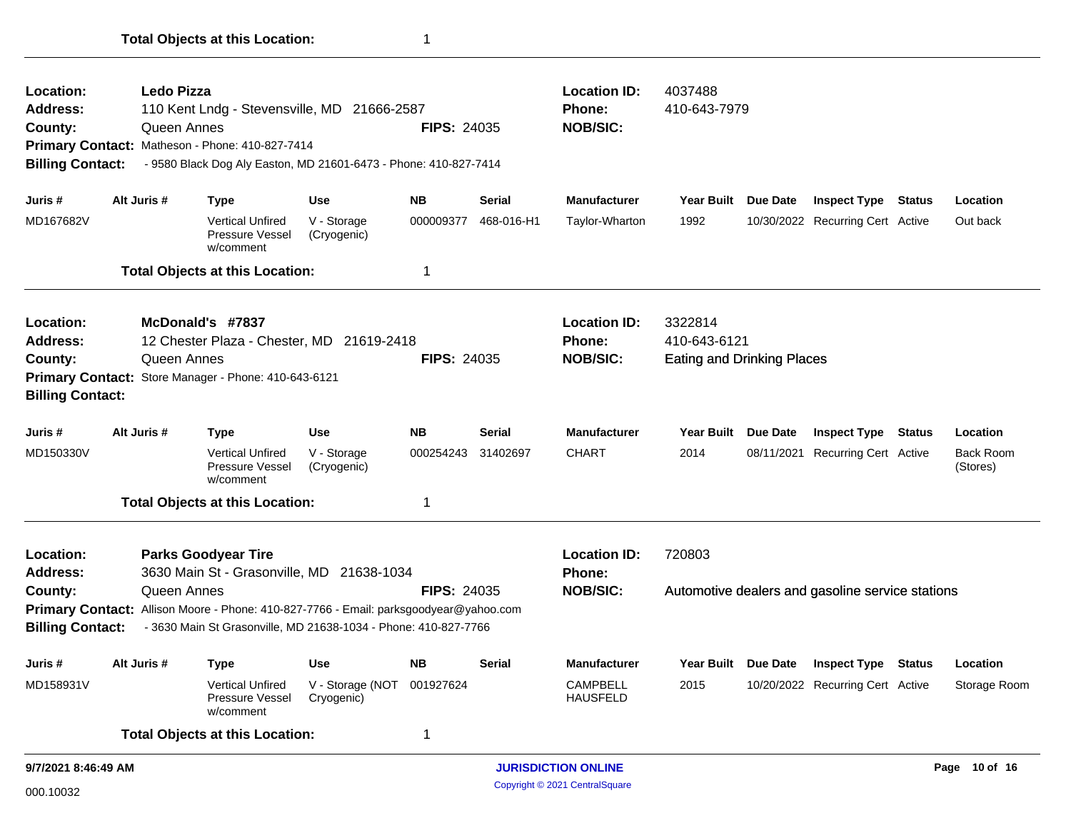| Location:               |             | <b>Ledo Pizza</b> |                                                                                       |                                          |                    |               | <b>Location ID:</b>                | 4037488                           |                 |                                                  |               |                              |
|-------------------------|-------------|-------------------|---------------------------------------------------------------------------------------|------------------------------------------|--------------------|---------------|------------------------------------|-----------------------------------|-----------------|--------------------------------------------------|---------------|------------------------------|
| <b>Address:</b>         |             |                   | 110 Kent Lndg - Stevensville, MD 21666-2587                                           |                                          |                    |               | Phone:                             | 410-643-7979                      |                 |                                                  |               |                              |
| County:                 |             | Queen Annes       |                                                                                       |                                          | <b>FIPS: 24035</b> |               | <b>NOB/SIC:</b>                    |                                   |                 |                                                  |               |                              |
|                         |             |                   | Primary Contact: Matheson - Phone: 410-827-7414                                       |                                          |                    |               |                                    |                                   |                 |                                                  |               |                              |
| <b>Billing Contact:</b> |             |                   | - 9580 Black Dog Aly Easton, MD 21601-6473 - Phone: 410-827-7414                      |                                          |                    |               |                                    |                                   |                 |                                                  |               |                              |
| Juris #                 | Alt Juris # |                   | <b>Type</b>                                                                           | <b>Use</b>                               | <b>NB</b>          | Serial        | <b>Manufacturer</b>                | Year Built Due Date               |                 | <b>Inspect Type Status</b>                       |               | Location                     |
| MD167682V               |             |                   | <b>Vertical Unfired</b><br>Pressure Vessel<br>w/comment                               | V - Storage<br>(Cryogenic)               | 000009377          | 468-016-H1    | Taylor-Wharton                     | 1992                              |                 | 10/30/2022 Recurring Cert Active                 |               | Out back                     |
|                         |             |                   | <b>Total Objects at this Location:</b>                                                |                                          | 1                  |               |                                    |                                   |                 |                                                  |               |                              |
| Location:               |             |                   | McDonald's #7837                                                                      |                                          |                    |               | <b>Location ID:</b>                | 3322814                           |                 |                                                  |               |                              |
| Address:                |             |                   | 12 Chester Plaza - Chester, MD 21619-2418                                             |                                          |                    |               | Phone:                             | 410-643-6121                      |                 |                                                  |               |                              |
| County:                 |             | Queen Annes       |                                                                                       |                                          | <b>FIPS: 24035</b> |               | <b>NOB/SIC:</b>                    | <b>Eating and Drinking Places</b> |                 |                                                  |               |                              |
|                         |             |                   | Primary Contact: Store Manager - Phone: 410-643-6121                                  |                                          |                    |               |                                    |                                   |                 |                                                  |               |                              |
| <b>Billing Contact:</b> |             |                   |                                                                                       |                                          |                    |               |                                    |                                   |                 |                                                  |               |                              |
| Juris #                 | Alt Juris # |                   | <b>Type</b>                                                                           | Use                                      | <b>NB</b>          | Serial        | <b>Manufacturer</b>                | <b>Year Built</b>                 | <b>Due Date</b> | <b>Inspect Type</b>                              | <b>Status</b> | Location                     |
| MD150330V               |             |                   | <b>Vertical Unfired</b><br>Pressure Vessel<br>w/comment                               | V - Storage<br>(Cryogenic)               | 000254243          | 31402697      | <b>CHART</b>                       | 2014                              |                 | 08/11/2021 Recurring Cert Active                 |               | <b>Back Room</b><br>(Stores) |
|                         |             |                   | <b>Total Objects at this Location:</b>                                                |                                          | 1                  |               |                                    |                                   |                 |                                                  |               |                              |
| Location:               |             |                   | <b>Parks Goodyear Tire</b>                                                            |                                          |                    |               | <b>Location ID:</b>                | 720803                            |                 |                                                  |               |                              |
| <b>Address:</b>         |             |                   | 3630 Main St - Grasonville, MD 21638-1034                                             |                                          |                    |               | Phone:                             |                                   |                 |                                                  |               |                              |
| County:                 |             | Queen Annes       |                                                                                       |                                          | <b>FIPS: 24035</b> |               | <b>NOB/SIC:</b>                    |                                   |                 | Automotive dealers and gasoline service stations |               |                              |
|                         |             |                   | Primary Contact: Allison Moore - Phone: 410-827-7766 - Email: parksgoodyear@yahoo.com |                                          |                    |               |                                    |                                   |                 |                                                  |               |                              |
| <b>Billing Contact:</b> |             |                   | - 3630 Main St Grasonville, MD 21638-1034 - Phone: 410-827-7766                       |                                          |                    |               |                                    |                                   |                 |                                                  |               |                              |
| Juris #                 | Alt Juris # |                   | <b>Type</b>                                                                           | Use                                      | <b>NB</b>          | <b>Serial</b> | <b>Manufacturer</b>                |                                   |                 | Year Built Due Date Inspect Type Status          |               | Location                     |
| MD158931V               |             |                   | <b>Vertical Unfired</b><br>Pressure Vessel<br>w/comment                               | V - Storage (NOT 001927624<br>Cryogenic) |                    |               | <b>CAMPBELL</b><br><b>HAUSFELD</b> | 2015                              |                 | 10/20/2022 Recurring Cert Active                 |               | Storage Room                 |
|                         |             |                   | <b>Total Objects at this Location:</b>                                                |                                          | 1                  |               |                                    |                                   |                 |                                                  |               |                              |
| 9/7/2021 8:46:49 AM     |             |                   |                                                                                       |                                          |                    |               | <b>JURISDICTION ONLINE</b>         |                                   |                 |                                                  |               | Page 10 of 16                |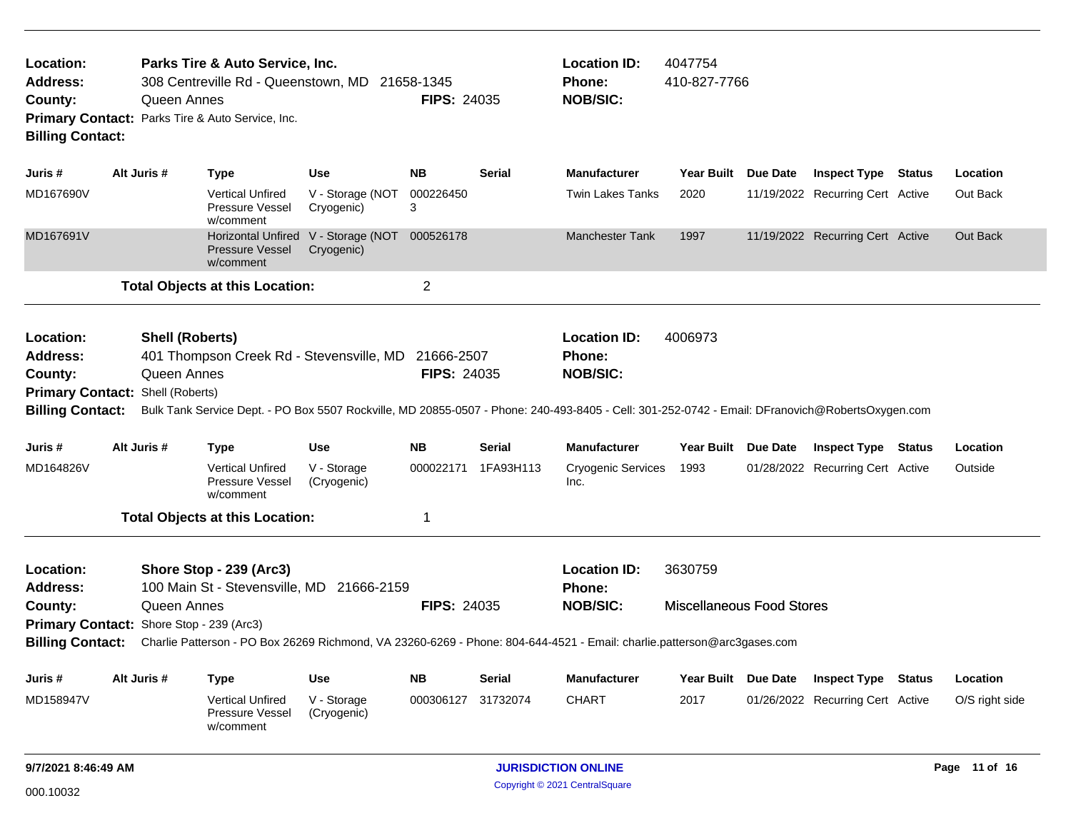| Location:<br><b>Address:</b><br>County:<br><b>Billing Contact:</b>                                            |             | Queen Annes                           | Parks Tire & Auto Service, Inc.<br>Primary Contact: Parks Tire & Auto Service, Inc. | 308 Centreville Rd - Queenstown, MD 21658-1345      | <b>FIPS: 24035</b> |               | <b>Location ID:</b><br><b>Phone:</b><br><b>NOB/SIC:</b>                                                                                                                                                    | 4047754<br>410-827-7766                     |                                  |               |                |
|---------------------------------------------------------------------------------------------------------------|-------------|---------------------------------------|-------------------------------------------------------------------------------------|-----------------------------------------------------|--------------------|---------------|------------------------------------------------------------------------------------------------------------------------------------------------------------------------------------------------------------|---------------------------------------------|----------------------------------|---------------|----------------|
| Juris #                                                                                                       | Alt Juris # |                                       | <b>Type</b>                                                                         | Use                                                 | <b>NB</b>          | <b>Serial</b> | <b>Manufacturer</b>                                                                                                                                                                                        | Year Built Due Date                         | <b>Inspect Type</b>              | <b>Status</b> | Location       |
| MD167690V                                                                                                     |             |                                       | <b>Vertical Unfired</b><br>Pressure Vessel<br>w/comment                             | V - Storage (NOT<br>Cryogenic)                      | 000226450<br>3     |               | <b>Twin Lakes Tanks</b>                                                                                                                                                                                    | 2020                                        | 11/19/2022 Recurring Cert Active |               | Out Back       |
| MD167691V                                                                                                     |             |                                       | <b>Pressure Vessel</b><br>w/comment                                                 | Horizontal Unfired V - Storage (NOT<br>Cryogenic)   | 000526178          |               | <b>Manchester Tank</b>                                                                                                                                                                                     | 1997                                        | 11/19/2022 Recurring Cert Active |               | Out Back       |
|                                                                                                               |             |                                       | <b>Total Objects at this Location:</b>                                              |                                                     | $\overline{2}$     |               |                                                                                                                                                                                                            |                                             |                                  |               |                |
| Location:<br><b>Address:</b><br>County:<br><b>Primary Contact: Shell (Roberts)</b><br><b>Billing Contact:</b> |             | <b>Shell (Roberts)</b><br>Queen Annes |                                                                                     | 401 Thompson Creek Rd - Stevensville, MD 21666-2507 | <b>FIPS: 24035</b> |               | <b>Location ID:</b><br><b>Phone:</b><br><b>NOB/SIC:</b><br>Bulk Tank Service Dept. - PO Box 5507 Rockville, MD 20855-0507 - Phone: 240-493-8405 - Cell: 301-252-0742 - Email: DFranovich@RobertsOxygen.com | 4006973                                     |                                  |               |                |
| Juris #                                                                                                       | Alt Juris # |                                       | Type                                                                                | Use                                                 | <b>NB</b>          | <b>Serial</b> | <b>Manufacturer</b>                                                                                                                                                                                        | Year Built Due Date                         | <b>Inspect Type Status</b>       |               | Location       |
| MD164826V                                                                                                     |             |                                       | <b>Vertical Unfired</b><br><b>Pressure Vessel</b><br>w/comment                      | V - Storage<br>(Cryogenic)                          | 000022171          | 1FA93H113     | Cryogenic Services<br>Inc.                                                                                                                                                                                 | 1993                                        | 01/28/2022 Recurring Cert Active |               | Outside        |
|                                                                                                               |             |                                       | <b>Total Objects at this Location:</b>                                              |                                                     | $\mathbf 1$        |               |                                                                                                                                                                                                            |                                             |                                  |               |                |
| Location:<br><b>Address:</b><br>County:<br>Primary Contact: Shore Stop - 239 (Arc3)                           |             | Queen Annes                           | Shore Stop - 239 (Arc3)                                                             | 100 Main St - Stevensville, MD 21666-2159           | <b>FIPS: 24035</b> |               | <b>Location ID:</b><br><b>Phone:</b><br><b>NOB/SIC:</b>                                                                                                                                                    | 3630759<br><b>Miscellaneous Food Stores</b> |                                  |               |                |
|                                                                                                               |             |                                       |                                                                                     |                                                     |                    |               | Billing Contact: Charlie Patterson - PO Box 26269 Richmond, VA 23260-6269 - Phone: 804-644-4521 - Email: charlie.patterson@arc3gases.com                                                                   |                                             |                                  |               |                |
| Juris #                                                                                                       | Alt Juris # |                                       | <b>Type</b>                                                                         | <b>Use</b>                                          | <b>NB</b>          | Serial        | <b>Manufacturer</b>                                                                                                                                                                                        | Year Built Due Date                         | <b>Inspect Type Status</b>       |               | Location       |
| MD158947V                                                                                                     |             |                                       | <b>Vertical Unfired</b><br>Pressure Vessel<br>w/comment                             | V - Storage<br>(Cryogenic)                          | 000306127          | 31732074      | <b>CHART</b>                                                                                                                                                                                               | 2017                                        | 01/26/2022 Recurring Cert Active |               | O/S right side |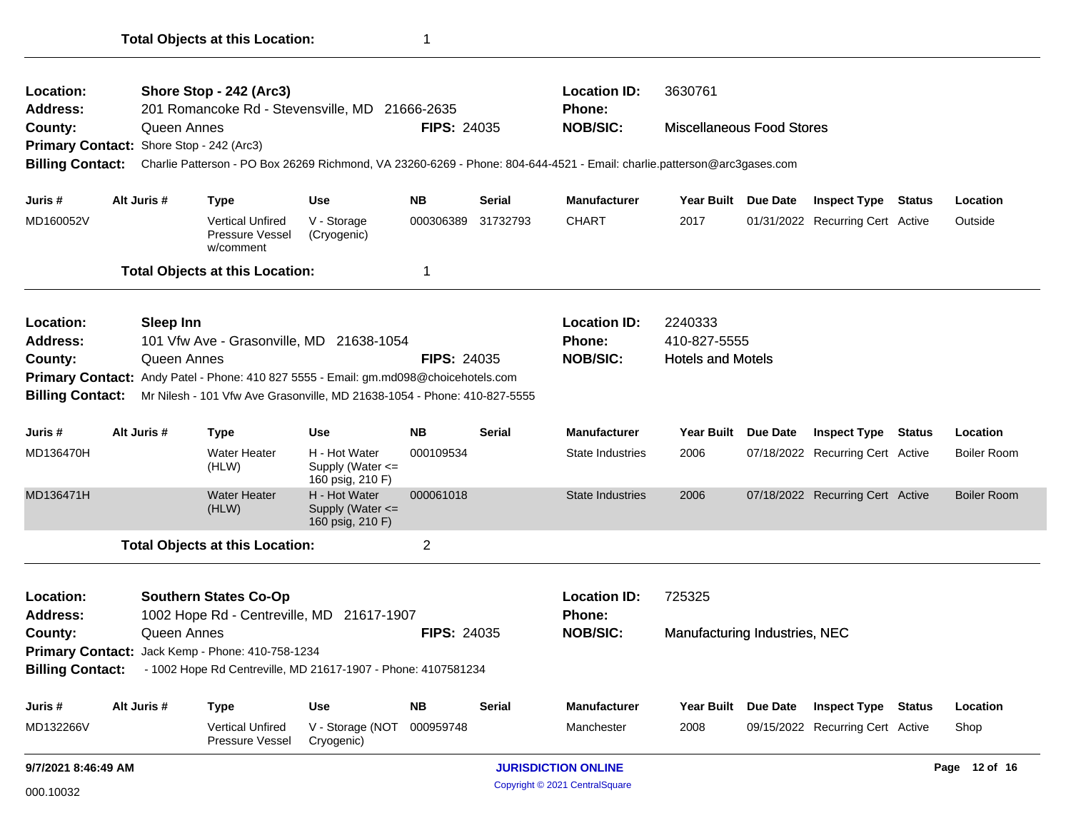| Location:               | Shore Stop - 242 (Arc3) |                                                                                                                         |                                                           |                    |                               | <b>Location ID:</b>              | 3630761                          |                     |                                  |        |                    |
|-------------------------|-------------------------|-------------------------------------------------------------------------------------------------------------------------|-----------------------------------------------------------|--------------------|-------------------------------|----------------------------------|----------------------------------|---------------------|----------------------------------|--------|--------------------|
| <b>Address:</b>         |                         | 201 Romancoke Rd - Stevensville, MD 21666-2635<br>Queen Annes                                                           |                                                           | <b>FIPS: 24035</b> |                               | <b>Phone:</b><br><b>NOB/SIC:</b> | <b>Miscellaneous Food Stores</b> |                     |                                  |        |                    |
| County:                 |                         | Primary Contact: Shore Stop - 242 (Arc3)                                                                                |                                                           |                    |                               |                                  |                                  |                     |                                  |        |                    |
| <b>Billing Contact:</b> |                         | Charlie Patterson - PO Box 26269 Richmond, VA 23260-6269 - Phone: 804-644-4521 - Email: charlie.patterson@arc3gases.com |                                                           |                    |                               |                                  |                                  |                     |                                  |        |                    |
|                         |                         |                                                                                                                         |                                                           |                    |                               |                                  |                                  |                     |                                  |        |                    |
| Juris #                 | Alt Juris #             | Type                                                                                                                    | <b>Use</b>                                                | <b>NB</b>          | Serial                        | <b>Manufacturer</b>              |                                  | Year Built Due Date | <b>Inspect Type</b>              | Status | Location           |
| MD160052V               |                         | <b>Vertical Unfired</b><br><b>Pressure Vessel</b><br>w/comment                                                          | V - Storage<br>(Cryogenic)                                | 000306389          | 31732793                      | <b>CHART</b>                     | 2017                             |                     | 01/31/2022 Recurring Cert Active |        | Outside            |
|                         |                         | <b>Total Objects at this Location:</b>                                                                                  |                                                           | 1                  |                               |                                  |                                  |                     |                                  |        |                    |
| Location:               |                         | <b>Sleep Inn</b>                                                                                                        |                                                           |                    |                               | <b>Location ID:</b>              | 2240333                          |                     |                                  |        |                    |
| <b>Address:</b>         |                         | 101 Vfw Ave - Grasonville, MD 21638-1054                                                                                |                                                           |                    |                               | <b>Phone:</b>                    | 410-827-5555                     |                     |                                  |        |                    |
| County:                 |                         | Queen Annes                                                                                                             |                                                           | <b>FIPS: 24035</b> |                               | <b>NOB/SIC:</b>                  | <b>Hotels and Motels</b>         |                     |                                  |        |                    |
|                         |                         | Primary Contact: Andy Patel - Phone: 410 827 5555 - Email: gm.md098@choicehotels.com                                    |                                                           |                    |                               |                                  |                                  |                     |                                  |        |                    |
| <b>Billing Contact:</b> |                         | Mr Nilesh - 101 Vfw Ave Grasonville, MD 21638-1054 - Phone: 410-827-5555                                                |                                                           |                    |                               |                                  |                                  |                     |                                  |        |                    |
| Juris #                 | Alt Juris #             | Type                                                                                                                    | <b>Use</b>                                                | <b>NB</b>          | <b>Serial</b>                 | <b>Manufacturer</b>              |                                  | Year Built Due Date | <b>Inspect Type Status</b>       |        | Location           |
| MD136470H               |                         | <b>Water Heater</b><br>(HLW)                                                                                            | H - Hot Water<br>Supply (Water $\leq$<br>160 psig, 210 F) | 000109534          |                               | <b>State Industries</b>          | 2006                             |                     | 07/18/2022 Recurring Cert Active |        | <b>Boiler Room</b> |
| MD136471H               |                         | <b>Water Heater</b><br>(HLW)                                                                                            | H - Hot Water<br>Supply (Water <=<br>160 psig, 210 F)     | 000061018          |                               | <b>State Industries</b>          | 2006                             |                     | 07/18/2022 Recurring Cert Active |        | <b>Boiler Room</b> |
|                         |                         | <b>Total Objects at this Location:</b>                                                                                  |                                                           | $\overline{c}$     |                               |                                  |                                  |                     |                                  |        |                    |
| Location:               |                         | <b>Southern States Co-Op</b>                                                                                            |                                                           |                    |                               | <b>Location ID:</b>              | 725325                           |                     |                                  |        |                    |
| <b>Address:</b>         |                         | 1002 Hope Rd - Centreville, MD 21617-1907<br><b>Phone:</b>                                                              |                                                           |                    |                               |                                  |                                  |                     |                                  |        |                    |
| County:                 |                         | Queen Annes                                                                                                             | <b>FIPS: 24035</b>                                        | <b>NOB/SIC:</b>    | Manufacturing Industries, NEC |                                  |                                  |                     |                                  |        |                    |
|                         |                         | Primary Contact: Jack Kemp - Phone: 410-758-1234                                                                        |                                                           |                    |                               |                                  |                                  |                     |                                  |        |                    |
| <b>Billing Contact:</b> |                         | - 1002 Hope Rd Centreville, MD 21617-1907 - Phone: 4107581234                                                           |                                                           |                    |                               |                                  |                                  |                     |                                  |        |                    |
| Juris #                 | Alt Juris #             | Type                                                                                                                    | <b>Use</b>                                                | <b>NB</b>          | Serial                        | <b>Manufacturer</b>              |                                  | Year Built Due Date | <b>Inspect Type Status</b>       |        | Location           |
| MD132266V               |                         | <b>Vertical Unfired</b><br>Pressure Vessel                                                                              | V - Storage (NOT<br>Cryogenic)                            | 000959748          |                               | Manchester                       | 2008                             |                     | 09/15/2022 Recurring Cert Active |        | Shop               |
| 9/7/2021 8:46:49 AM     |                         |                                                                                                                         |                                                           |                    |                               | <b>JURISDICTION ONLINE</b>       |                                  |                     |                                  |        | Page 12 of 16      |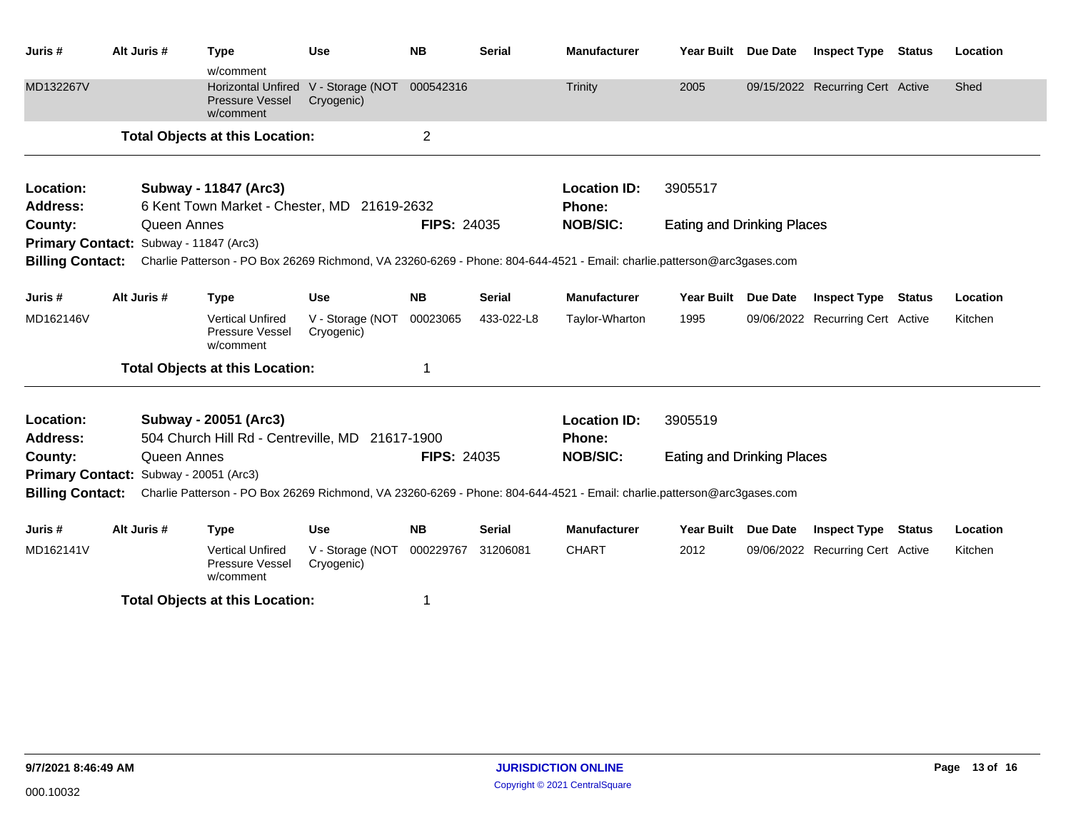| Juris #                                | Alt Juris #                       |             | <b>Type</b><br>w/comment                                         | <b>Use</b>                     | <b>NB</b>          | <b>Serial</b> | <b>Manufacturer</b>                                                                                                     | Year Built Due Date               |                 | <b>Inspect Type Status</b>       |               | Location |
|----------------------------------------|-----------------------------------|-------------|------------------------------------------------------------------|--------------------------------|--------------------|---------------|-------------------------------------------------------------------------------------------------------------------------|-----------------------------------|-----------------|----------------------------------|---------------|----------|
| MD132267V                              |                                   |             | <b>Horizontal Unfired</b><br><b>Pressure Vessel</b><br>w/comment | V - Storage (NOT<br>Cryogenic) | 000542316          |               | <b>Trinity</b>                                                                                                          | 2005                              |                 | 09/15/2022 Recurring Cert Active |               | Shed     |
|                                        |                                   |             | <b>Total Objects at this Location:</b>                           |                                | $\overline{2}$     |               |                                                                                                                         |                                   |                 |                                  |               |          |
| Location:                              |                                   |             | Subway - 11847 (Arc3)                                            |                                |                    |               | <b>Location ID:</b>                                                                                                     | 3905517                           |                 |                                  |               |          |
| <b>Address:</b>                        |                                   |             | 6 Kent Town Market - Chester, MD 21619-2632                      |                                |                    |               | Phone:                                                                                                                  |                                   |                 |                                  |               |          |
| County:                                | <b>FIPS: 24035</b><br>Queen Annes |             |                                                                  |                                |                    |               | <b>NOB/SIC:</b>                                                                                                         | <b>Eating and Drinking Places</b> |                 |                                  |               |          |
| Primary Contact: Subway - 11847 (Arc3) |                                   |             |                                                                  |                                |                    |               |                                                                                                                         |                                   |                 |                                  |               |          |
| <b>Billing Contact:</b>                |                                   |             |                                                                  |                                |                    |               | Charlie Patterson - PO Box 26269 Richmond, VA 23260-6269 - Phone: 804-644-4521 - Email: charlie.patterson@arc3gases.com |                                   |                 |                                  |               |          |
| Juris #                                | Alt Juris #                       |             | <b>Type</b>                                                      | <b>Use</b>                     | <b>NB</b>          | <b>Serial</b> | <b>Manufacturer</b>                                                                                                     | <b>Year Built</b>                 | <b>Due Date</b> | <b>Inspect Type</b>              | <b>Status</b> | Location |
| MD162146V                              |                                   |             | <b>Vertical Unfired</b><br>Pressure Vessel<br>w/comment          | V - Storage (NOT<br>Cryogenic) | 00023065           | 433-022-L8    | Taylor-Wharton                                                                                                          | 1995                              |                 | 09/06/2022 Recurring Cert Active |               | Kitchen  |
|                                        |                                   |             | <b>Total Objects at this Location:</b>                           |                                |                    |               |                                                                                                                         |                                   |                 |                                  |               |          |
| Location:                              |                                   |             | Subway - 20051 (Arc3)                                            |                                |                    |               | <b>Location ID:</b>                                                                                                     | 3905519                           |                 |                                  |               |          |
| <b>Address:</b>                        |                                   |             | 504 Church Hill Rd - Centreville, MD 21617-1900                  |                                |                    |               | Phone:                                                                                                                  |                                   |                 |                                  |               |          |
| County:                                |                                   | Queen Annes |                                                                  |                                | <b>FIPS: 24035</b> |               | <b>NOB/SIC:</b>                                                                                                         | <b>Eating and Drinking Places</b> |                 |                                  |               |          |
| Primary Contact: Subway - 20051 (Arc3) |                                   |             |                                                                  |                                |                    |               |                                                                                                                         |                                   |                 |                                  |               |          |
| <b>Billing Contact:</b>                |                                   |             |                                                                  |                                |                    |               | Charlie Patterson - PO Box 26269 Richmond, VA 23260-6269 - Phone: 804-644-4521 - Email: charlie.patterson@arc3gases.com |                                   |                 |                                  |               |          |
| Juris #                                | Alt Juris #                       |             | <b>Type</b>                                                      | <b>Use</b>                     | <b>NB</b>          | <b>Serial</b> | <b>Manufacturer</b>                                                                                                     | Year Built Due Date               |                 | <b>Inspect Type</b>              | Status        | Location |
| MD162141V                              |                                   |             | <b>Vertical Unfired</b><br>Pressure Vessel<br>w/comment          | V - Storage (NOT<br>Cryogenic) | 000229767          | 31206081      | <b>CHART</b>                                                                                                            | 2012                              |                 | 09/06/2022 Recurring Cert Active |               | Kitchen  |
|                                        |                                   |             | <b>Total Objects at this Location:</b>                           |                                | 1                  |               |                                                                                                                         |                                   |                 |                                  |               |          |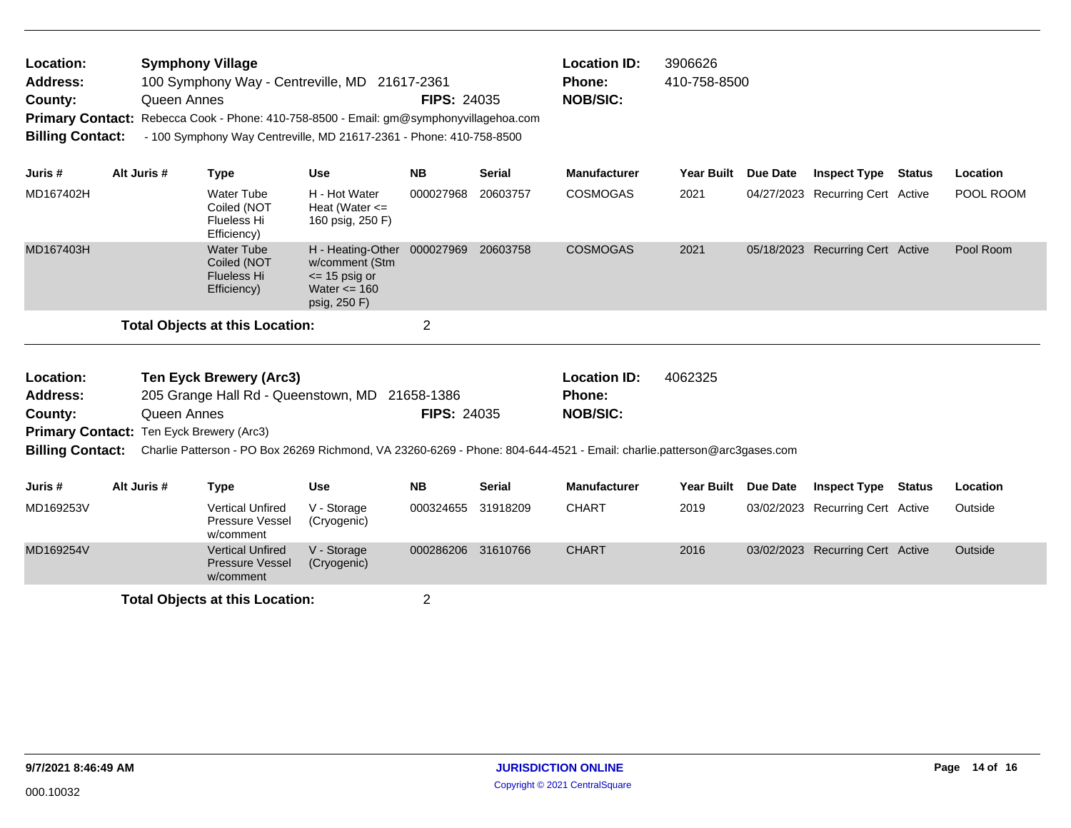| Location:               |                    | <b>Symphony Village</b> |                                                                                        |                    |        | <b>Location ID:</b> | 3906626           |  |
|-------------------------|--------------------|-------------------------|----------------------------------------------------------------------------------------|--------------------|--------|---------------------|-------------------|--|
| Address:                |                    |                         | 100 Symphony Way - Centreville, MD 21617-2361                                          |                    |        | <b>Phone:</b>       | 410-758-8500      |  |
| County:                 |                    | Queen Annes             |                                                                                        | <b>FIPS: 24035</b> |        |                     |                   |  |
|                         |                    |                         | Primary Contact: Rebecca Cook - Phone: 410-758-8500 - Email: gm@symphonyvillagehoa.com |                    |        |                     |                   |  |
| <b>Billing Contact:</b> |                    |                         | - 100 Symphony Way Centreville, MD 21617-2361 - Phone: 410-758-8500                    |                    |        |                     |                   |  |
|                         |                    |                         |                                                                                        |                    |        |                     |                   |  |
| .Juris #                | <b>Alt Juris #</b> | <b>Tvne</b>             | Use                                                                                    | NB.                | Serial | Manufacturer        | Year Built Due Da |  |

| Juris #                                | Alt Juris # | Type                                                           | Use                                                                                                            | <b>NB</b> | <b>Serial</b> | <b>Manufacturer</b> | <b>Year Built</b> | <b>Due Date</b> | <b>Inspect Type</b>              | Status | Location  |
|----------------------------------------|-------------|----------------------------------------------------------------|----------------------------------------------------------------------------------------------------------------|-----------|---------------|---------------------|-------------------|-----------------|----------------------------------|--------|-----------|
| MD167402H                              |             | <b>Water Tube</b><br>Coiled (NOT<br>Flueless Hi<br>Efficiency) | H - Hot Water<br>Heat (Water $\leq$<br>160 psig, 250 F)                                                        | 000027968 | 20603757      | <b>COSMOGAS</b>     | 2021              |                 | 04/27/2023 Recurring Cert Active |        | POOL ROOM |
| MD167403H                              |             | Water Tube<br>Coiled (NOT<br>Flueless Hi<br>Efficiency)        | H - Heating-Other 000027969 20603758<br>w/comment (Stm<br>$\le$ 15 psig or<br>Water $\leq$ 160<br>psig, 250 F) |           |               | <b>COSMOGAS</b>     | 2021              |                 | 05/18/2023 Recurring Cert Active |        | Pool Room |
| <b>Total Objects at this Location:</b> |             |                                                                |                                                                                                                | ົ         |               |                     |                   |                 |                                  |        |           |

| <b>Ten Eyck Brewery (Arc3)</b><br>Location:<br><b>Address:</b><br>205 Grange Hall Rd - Queenstown, MD 21658-1386<br>County:<br>Queen Annes |                                          |                                                                                                                         |                            | <b>FIPS: 24035</b> |               | <b>Location ID:</b><br><b>Phone:</b><br><b>NOB/SIC:</b> | 4062325           |            |                                  |        |          |
|--------------------------------------------------------------------------------------------------------------------------------------------|------------------------------------------|-------------------------------------------------------------------------------------------------------------------------|----------------------------|--------------------|---------------|---------------------------------------------------------|-------------------|------------|----------------------------------|--------|----------|
|                                                                                                                                            | Primary Contact: Ten Eyck Brewery (Arc3) |                                                                                                                         |                            |                    |               |                                                         |                   |            |                                  |        |          |
| <b>Billing Contact:</b>                                                                                                                    |                                          | Charlie Patterson - PO Box 26269 Richmond, VA 23260-6269 - Phone: 804-644-4521 - Email: charlie.patterson@arc3qases.com |                            |                    |               |                                                         |                   |            |                                  |        |          |
| Juris #                                                                                                                                    | Alt Juris #                              | Type                                                                                                                    | Use                        | NB.                | <b>Serial</b> | <b>Manufacturer</b>                                     | <b>Year Built</b> | Due Date   | <b>Inspect Type</b>              | Status | Location |
| MD169253V                                                                                                                                  |                                          | <b>Vertical Unfired</b><br>Pressure Vessel<br>w/comment                                                                 | V - Storage<br>(Cryogenic) | 000324655          | 31918209      | <b>CHART</b>                                            | 2019              | 03/02/2023 | Recurring Cert Active            |        | Outside  |
| MD169254V                                                                                                                                  |                                          | <b>Vertical Unfired</b><br><b>Pressure Vessel</b><br>w/comment                                                          | V - Storage<br>(Cryogenic) | 000286206          | 31610766      | <b>CHART</b>                                            | 2016              |            | 03/02/2023 Recurring Cert Active |        | Outside  |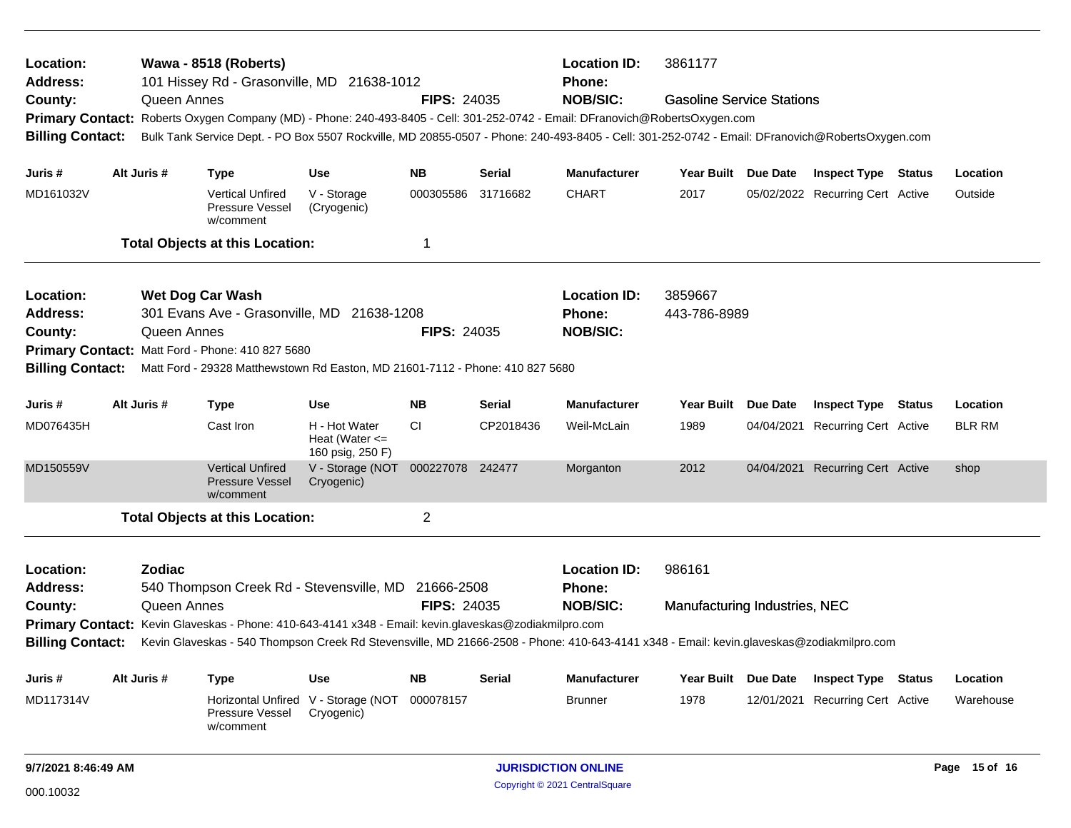| Location:<br>Address:   |               | Wawa - 8518 (Roberts)<br>101 Hissey Rd - Grasonville, MD 21638-1012                                                                             |                                                         |                    |           | <b>Location ID:</b><br>Phone: | 3861177<br><b>Gasoline Service Stations</b> |                 |                                  |  |               |
|-------------------------|---------------|-------------------------------------------------------------------------------------------------------------------------------------------------|---------------------------------------------------------|--------------------|-----------|-------------------------------|---------------------------------------------|-----------------|----------------------------------|--|---------------|
| County:                 | Queen Annes   |                                                                                                                                                 |                                                         | <b>FIPS: 24035</b> |           | <b>NOB/SIC:</b>               |                                             |                 |                                  |  |               |
| <b>Primary Contact:</b> |               | Roberts Oxygen Company (MD) - Phone: 240-493-8405 - Cell: 301-252-0742 - Email: DFranovich@RobertsOxygen.com                                    |                                                         |                    |           |                               |                                             |                 |                                  |  |               |
| <b>Billing Contact:</b> |               | Bulk Tank Service Dept. - PO Box 5507 Rockville, MD 20855-0507 - Phone: 240-493-8405 - Cell: 301-252-0742 - Email: DFranovich@RobertsOxygen.com |                                                         |                    |           |                               |                                             |                 |                                  |  |               |
| Juris #                 | Alt Juris #   | <b>Type</b>                                                                                                                                     | <b>Use</b>                                              | <b>NB</b>          | Serial    | <b>Manufacturer</b>           | Year Built Due Date                         |                 | <b>Inspect Type Status</b>       |  | Location      |
| MD161032V               |               | <b>Vertical Unfired</b><br>Pressure Vessel<br>w/comment                                                                                         | V - Storage<br>(Cryogenic)                              | 000305586 31716682 |           | <b>CHART</b>                  | 2017                                        |                 | 05/02/2022 Recurring Cert Active |  | Outside       |
|                         |               | <b>Total Objects at this Location:</b>                                                                                                          |                                                         | 1                  |           |                               |                                             |                 |                                  |  |               |
| Location:               |               | <b>Wet Dog Car Wash</b>                                                                                                                         |                                                         |                    |           | <b>Location ID:</b>           | 3859667                                     |                 |                                  |  |               |
| <b>Address:</b>         |               | 301 Evans Ave - Grasonville, MD 21638-1208                                                                                                      |                                                         |                    |           | Phone:                        | 443-786-8989                                |                 |                                  |  |               |
| County:                 | Queen Annes   |                                                                                                                                                 |                                                         | <b>FIPS: 24035</b> |           | <b>NOB/SIC:</b>               |                                             |                 |                                  |  |               |
|                         |               | Primary Contact: Matt Ford - Phone: 410 827 5680                                                                                                |                                                         |                    |           |                               |                                             |                 |                                  |  |               |
| <b>Billing Contact:</b> |               | Matt Ford - 29328 Matthewstown Rd Easton, MD 21601-7112 - Phone: 410 827 5680                                                                   |                                                         |                    |           |                               |                                             |                 |                                  |  |               |
| Juris #                 | Alt Juris #   | <b>Type</b>                                                                                                                                     | <b>Use</b>                                              | <b>NB</b>          | Serial    | <b>Manufacturer</b>           | <b>Year Built</b>                           | <b>Due Date</b> | <b>Inspect Type Status</b>       |  | Location      |
| MD076435H               |               | Cast Iron                                                                                                                                       | H - Hot Water<br>Heat (Water $\leq$<br>160 psig, 250 F) | <b>CI</b>          | CP2018436 | Weil-McLain                   | 1989                                        |                 | 04/04/2021 Recurring Cert Active |  | <b>BLR RM</b> |
| MD150559V               |               | <b>Vertical Unfired</b><br><b>Pressure Vessel</b><br>w/comment                                                                                  | V - Storage (NOT<br>Cryogenic)                          | 000227078          | 242477    | Morganton                     | 2012                                        |                 | 04/04/2021 Recurring Cert Active |  | shop          |
|                         |               | <b>Total Objects at this Location:</b>                                                                                                          |                                                         | $\overline{2}$     |           |                               |                                             |                 |                                  |  |               |
| Location:               | <b>Zodiac</b> |                                                                                                                                                 |                                                         |                    |           | <b>Location ID:</b>           | 986161                                      |                 |                                  |  |               |
| <b>Address:</b>         |               | 540 Thompson Creek Rd - Stevensville, MD 21666-2508                                                                                             |                                                         |                    |           | Phone:                        |                                             |                 |                                  |  |               |
| County:                 | Queen Annes   |                                                                                                                                                 |                                                         | <b>FIPS: 24035</b> |           | <b>NOB/SIC:</b>               | Manufacturing Industries, NEC               |                 |                                  |  |               |
|                         |               | Primary Contact: Kevin Glaveskas - Phone: 410-643-4141 x348 - Email: kevin.glaveskas@zodiakmilpro.com                                           |                                                         |                    |           |                               |                                             |                 |                                  |  |               |
| <b>Billing Contact:</b> |               | Kevin Glaveskas - 540 Thompson Creek Rd Stevensville, MD 21666-2508 - Phone: 410-643-4141 x348 - Email: kevin.glaveskas@zodiakmilpro.com        |                                                         |                    |           |                               |                                             |                 |                                  |  |               |
| Juris #                 | Alt Juris #   | Type                                                                                                                                            | <b>Use</b>                                              | <b>NB</b>          | Serial    | <b>Manufacturer</b>           | <b>Year Built</b>                           | Due Date        | <b>Inspect Type Status</b>       |  | Location      |
| MD117314V               |               | Horizontal Unfired V - Storage (NOT<br>Pressure Vessel<br>w/comment                                                                             | Cryogenic)                                              | 000078157          |           | <b>Brunner</b>                | 1978                                        |                 | 12/01/2021 Recurring Cert Active |  | Warehouse     |
| 9/7/2021 8:46:49 AM     |               |                                                                                                                                                 |                                                         |                    |           | <b>JURISDICTION ONLINE</b>    |                                             |                 |                                  |  | Page 15 of 16 |